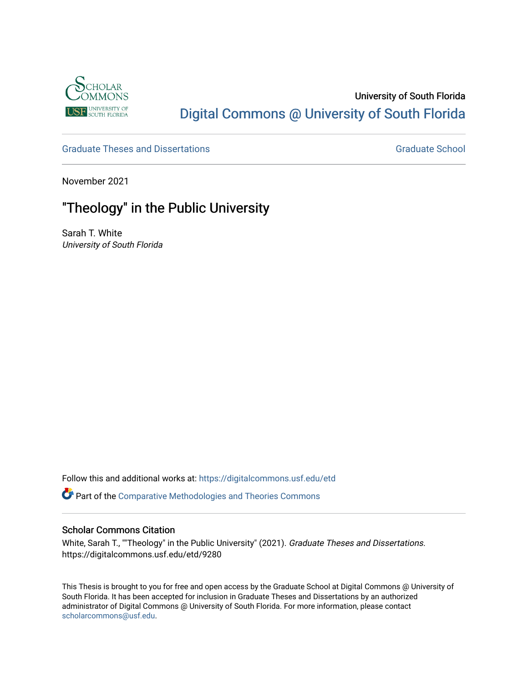

# University of South Florida [Digital Commons @ University of South Florida](https://digitalcommons.usf.edu/)

[Graduate Theses and Dissertations](https://digitalcommons.usf.edu/etd) [Graduate School](https://digitalcommons.usf.edu/grad) Graduate School

November 2021

# "Theology" in the Public University

Sarah T. White University of South Florida

Follow this and additional works at: [https://digitalcommons.usf.edu/etd](https://digitalcommons.usf.edu/etd?utm_source=digitalcommons.usf.edu%2Fetd%2F9280&utm_medium=PDF&utm_campaign=PDFCoverPages) 

Part of the [Comparative Methodologies and Theories Commons](http://network.bepress.com/hgg/discipline/540?utm_source=digitalcommons.usf.edu%2Fetd%2F9280&utm_medium=PDF&utm_campaign=PDFCoverPages)

# Scholar Commons Citation

White, Sarah T., ""Theology" in the Public University" (2021). Graduate Theses and Dissertations. https://digitalcommons.usf.edu/etd/9280

This Thesis is brought to you for free and open access by the Graduate School at Digital Commons @ University of South Florida. It has been accepted for inclusion in Graduate Theses and Dissertations by an authorized administrator of Digital Commons @ University of South Florida. For more information, please contact [scholarcommons@usf.edu.](mailto:scholarcommons@usf.edu)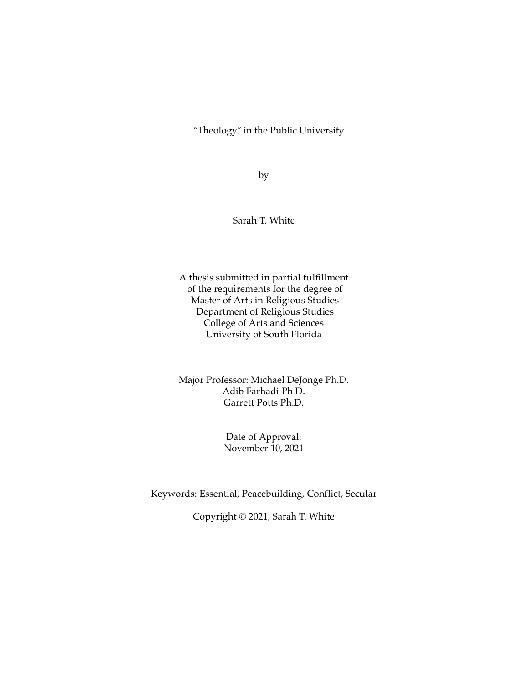"Theology" in the Public University

by

Sarah T. White

A thesis submitted in partial fulfillment of the requirements for the degree of Master of Arts in Religious Studies Department of Religious Studies College of Arts and Sciences University of South Florida

Major Professor: Michael DeJonge Ph.D. Adib Farhadi Ph.D. Garrett Potts Ph.D.

> Date of Approval: November 10, 2021

Keywords: Essential, Peacebuilding, Conflict, Secular

Copyright © 2021, Sarah T. White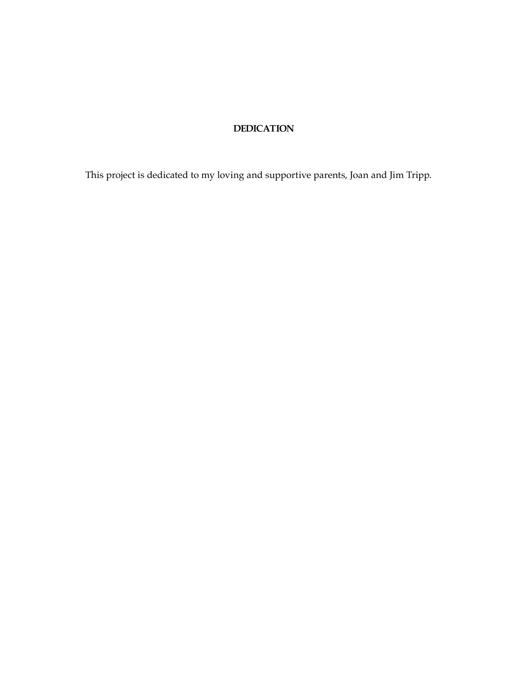# **DEDICATION**

This project is dedicated to my loving and supportive parents, Joan and Jim Tripp.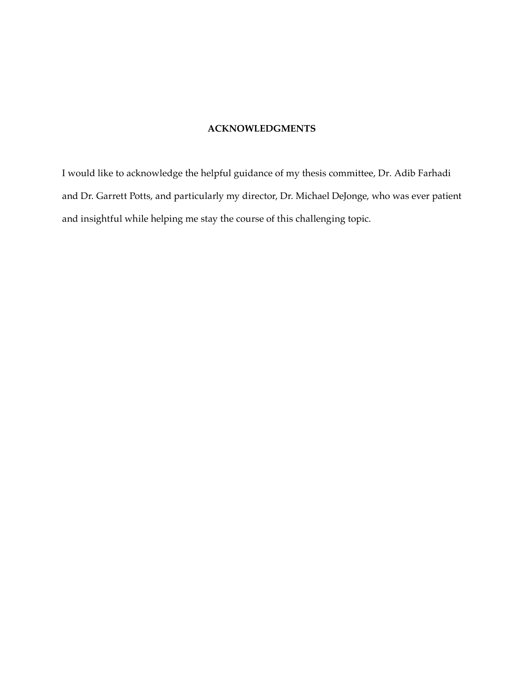# **ACKNOWLEDGMENTS**

I would like to acknowledge the helpful guidance of my thesis committee, Dr. Adib Farhadi and Dr. Garrett Potts, and particularly my director, Dr. Michael DeJonge, who was ever patient and insightful while helping me stay the course of this challenging topic.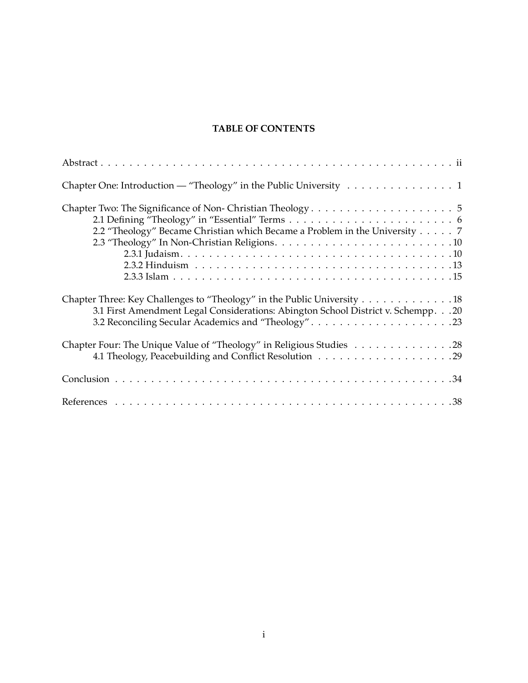# **TABLE OF CONTENTS**

| Chapter One: Introduction — "Theology" in the Public University 1                                                                                                                                                  |
|--------------------------------------------------------------------------------------------------------------------------------------------------------------------------------------------------------------------|
| 2.2 "Theology" Became Christian which Became a Problem in the University 7                                                                                                                                         |
| Chapter Three: Key Challenges to "Theology" in the Public University 18<br>3.1 First Amendment Legal Considerations: Abington School District v. Schempp. 20<br>3.2 Reconciling Secular Academics and "Theology"23 |
| Chapter Four: The Unique Value of "Theology" in Religious Studies 28                                                                                                                                               |
|                                                                                                                                                                                                                    |
|                                                                                                                                                                                                                    |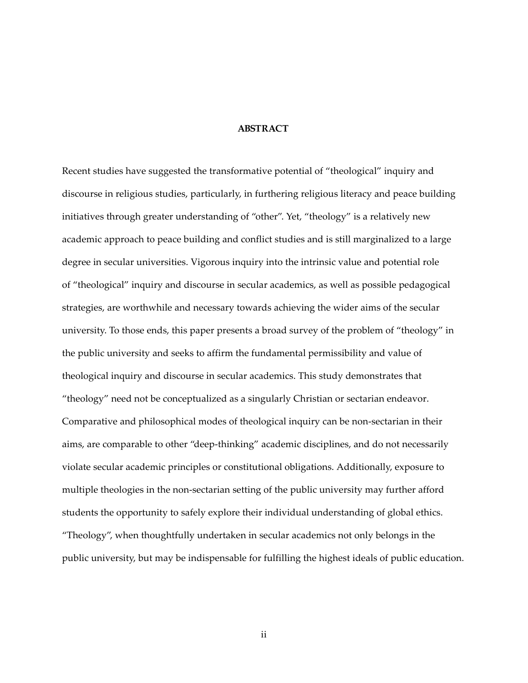## **ABSTRACT**

Recent studies have suggested the transformative potential of "theological" inquiry and discourse in religious studies, particularly, in furthering religious literacy and peace building initiatives through greater understanding of "other". Yet, "theology" is a relatively new academic approach to peace building and conflict studies and is still marginalized to a large degree in secular universities. Vigorous inquiry into the intrinsic value and potential role of "theological" inquiry and discourse in secular academics, as well as possible pedagogical strategies, are worthwhile and necessary towards achieving the wider aims of the secular university. To those ends, this paper presents a broad survey of the problem of "theology" in the public university and seeks to affirm the fundamental permissibility and value of theological inquiry and discourse in secular academics. This study demonstrates that "theology" need not be conceptualized as a singularly Christian or sectarian endeavor. Comparative and philosophical modes of theological inquiry can be non-sectarian in their aims, are comparable to other "deep-thinking" academic disciplines, and do not necessarily violate secular academic principles or constitutional obligations. Additionally, exposure to multiple theologies in the non-sectarian setting of the public university may further afford students the opportunity to safely explore their individual understanding of global ethics. "Theology", when thoughtfully undertaken in secular academics not only belongs in the public university, but may be indispensable for fulfilling the highest ideals of public education.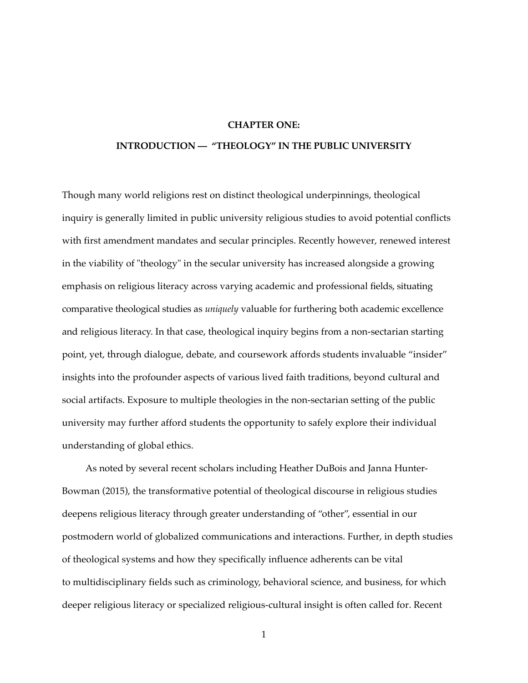#### **CHAPTER ONE:**

#### **INTRODUCTION — "THEOLOGY" IN THE PUBLIC UNIVERSITY**

Though many world religions rest on distinct theological underpinnings, theological inquiry is generally limited in public university religious studies to avoid potential conflicts with first amendment mandates and secular principles. Recently however, renewed interest in the viability of "theology" in the secular university has increased alongside a growing emphasis on religious literacy across varying academic and professional fields, situating comparative theological studies as *uniquely* valuable for furthering both academic excellence and religious literacy. In that case, theological inquiry begins from a non-sectarian starting point, yet, through dialogue, debate, and coursework affords students invaluable "insider" insights into the profounder aspects of various lived faith traditions, beyond cultural and social artifacts. Exposure to multiple theologies in the non-sectarian setting of the public university may further afford students the opportunity to safely explore their individual understanding of global ethics.

As noted by several recent scholars including Heather DuBois and Janna Hunter-Bowman (2015), the transformative potential of theological discourse in religious studies deepens religious literacy through greater understanding of "other", essential in our postmodern world of globalized communications and interactions. Further, in depth studies of theological systems and how they specifically influence adherents can be vital to multidisciplinary fields such as criminology, behavioral science, and business, for which deeper religious literacy or specialized religious-cultural insight is often called for. Recent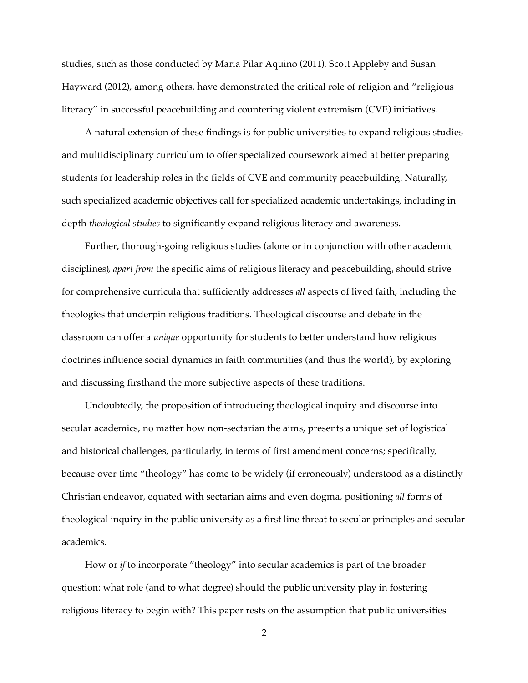studies, such as those conducted by Maria Pilar Aquino (2011), Scott Appleby and Susan Hayward (2012), among others, have demonstrated the critical role of religion and "religious literacy" in successful peacebuilding and countering violent extremism (CVE) initiatives.

A natural extension of these findings is for public universities to expand religious studies and multidisciplinary curriculum to offer specialized coursework aimed at better preparing students for leadership roles in the fields of CVE and community peacebuilding. Naturally, such specialized academic objectives call for specialized academic undertakings, including in depth *theological studies* to significantly expand religious literacy and awareness.

Further, thorough-going religious studies (alone or in conjunction with other academic disciplines), *apart from* the specific aims of religious literacy and peacebuilding, should strive for comprehensive curricula that sufficiently addresses *all* aspects of lived faith, including the theologies that underpin religious traditions. Theological discourse and debate in the classroom can offer a *unique* opportunity for students to better understand how religious doctrines influence social dynamics in faith communities (and thus the world), by exploring and discussing firsthand the more subjective aspects of these traditions.

Undoubtedly, the proposition of introducing theological inquiry and discourse into secular academics, no matter how non-sectarian the aims, presents a unique set of logistical and historical challenges, particularly, in terms of first amendment concerns; specifically, because over time "theology" has come to be widely (if erroneously) understood as a distinctly Christian endeavor, equated with sectarian aims and even dogma, positioning *all* forms of theological inquiry in the public university as a first line threat to secular principles and secular academics.

How or *if* to incorporate "theology" into secular academics is part of the broader question: what role (and to what degree) should the public university play in fostering religious literacy to begin with? This paper rests on the assumption that public universities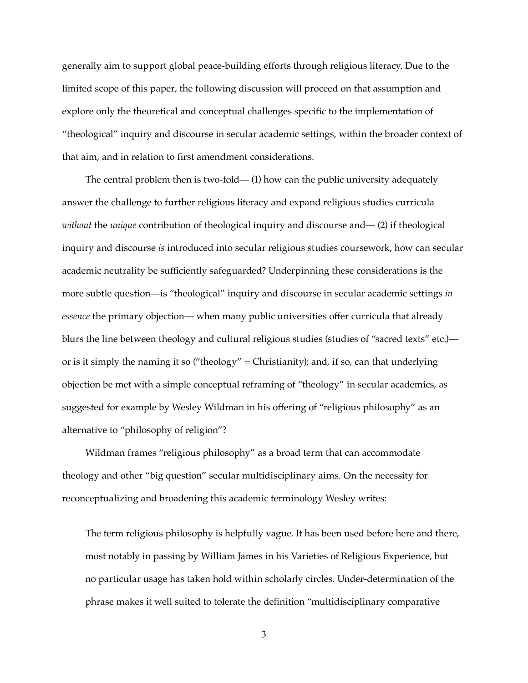generally aim to support global peace-building efforts through religious literacy. Due to the limited scope of this paper, the following discussion will proceed on that assumption and explore only the theoretical and conceptual challenges specific to the implementation of "theological" inquiry and discourse in secular academic settings, within the broader context of that aim, and in relation to first amendment considerations.

The central problem then is two-fold— (1) how can the public university adequately answer the challenge to further religious literacy and expand religious studies curricula *without* the *unique* contribution of theological inquiry and discourse and— (2) if theological inquiry and discourse *is* introduced into secular religious studies coursework, how can secular academic neutrality be sufficiently safeguarded? Underpinning these considerations is the more subtle question—is "theological" inquiry and discourse in secular academic settings *in essence* the primary objection— when many public universities offer curricula that already blurs the line between theology and cultural religious studies (studies of "sacred texts" etc.) or is it simply the naming it so ("theology" = Christianity); and, if so, can that underlying objection be met with a simple conceptual reframing of "theology" in secular academics, as suggested for example by Wesley Wildman in his offering of "religious philosophy" as an alternative to "philosophy of religion"?

Wildman frames "religious philosophy" as a broad term that can accommodate theology and other "big question" secular multidisciplinary aims. On the necessity for reconceptualizing and broadening this academic terminology Wesley writes:

The term religious philosophy is helpfully vague. It has been used before here and there, most notably in passing by William James in his Varieties of Religious Experience, but no particular usage has taken hold within scholarly circles. Under-determination of the phrase makes it well suited to tolerate the definition "multidisciplinary comparative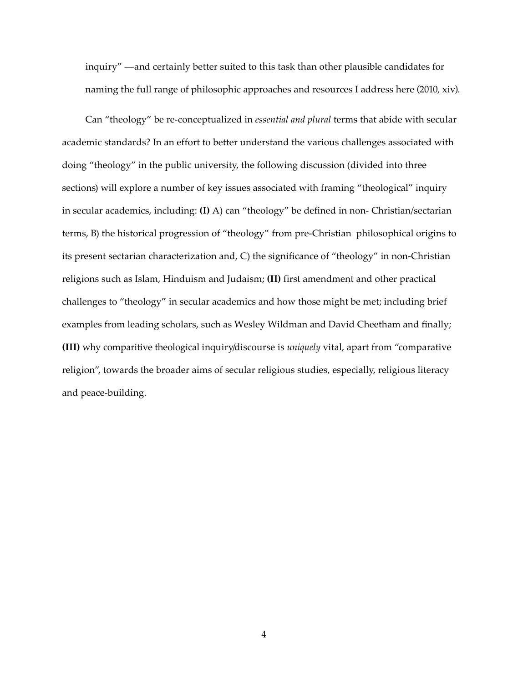inquiry" —and certainly better suited to this task than other plausible candidates for naming the full range of philosophic approaches and resources I address here (2010, xiv).

Can "theology" be re-conceptualized in *essential and plural* terms that abide with secular academic standards? In an effort to better understand the various challenges associated with doing "theology" in the public university, the following discussion (divided into three sections) will explore a number of key issues associated with framing "theological" inquiry in secular academics, including: **(I)** A) can "theology" be defined in non- Christian/sectarian terms, B) the historical progression of "theology" from pre-Christian philosophical origins to its present sectarian characterization and, C) the significance of "theology" in non-Christian religions such as Islam, Hinduism and Judaism; **(II)** first amendment and other practical challenges to "theology" in secular academics and how those might be met; including brief examples from leading scholars, such as Wesley Wildman and David Cheetham and finally; **(III)** why comparitive theological inquiry/discourse is *uniquely* vital, apart from "comparative religion", towards the broader aims of secular religious studies, especially, religious literacy and peace-building.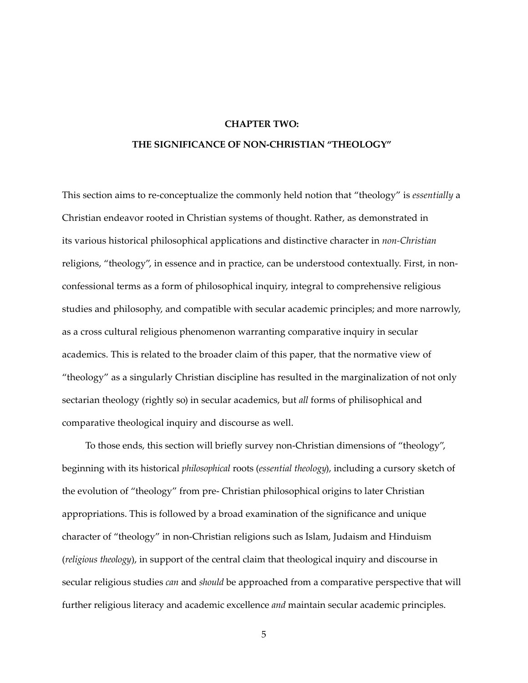## **CHAPTER TWO:**

# **THE SIGNIFICANCE OF NON-CHRISTIAN "THEOLOGY"**

This section aims to re-conceptualize the commonly held notion that "theology" is *essentially* a Christian endeavor rooted in Christian systems of thought. Rather, as demonstrated in its various historical philosophical applications and distinctive character in *non-Christian* religions, "theology", in essence and in practice, can be understood contextually. First, in nonconfessional terms as a form of philosophical inquiry, integral to comprehensive religious studies and philosophy, and compatible with secular academic principles; and more narrowly, as a cross cultural religious phenomenon warranting comparative inquiry in secular academics. This is related to the broader claim of this paper, that the normative view of "theology" as a singularly Christian discipline has resulted in the marginalization of not only sectarian theology (rightly so) in secular academics, but *all* forms of philisophical and comparative theological inquiry and discourse as well.

To those ends, this section will briefly survey non-Christian dimensions of "theology", beginning with its historical *philosophical* roots (*essential theology*), including a cursory sketch of the evolution of "theology" from pre- Christian philosophical origins to later Christian appropriations. This is followed by a broad examination of the significance and unique character of "theology" in non-Christian religions such as Islam, Judaism and Hinduism (*religious theology*), in support of the central claim that theological inquiry and discourse in secular religious studies *can* and *should* be approached from a comparative perspective that will further religious literacy and academic excellence *and* maintain secular academic principles.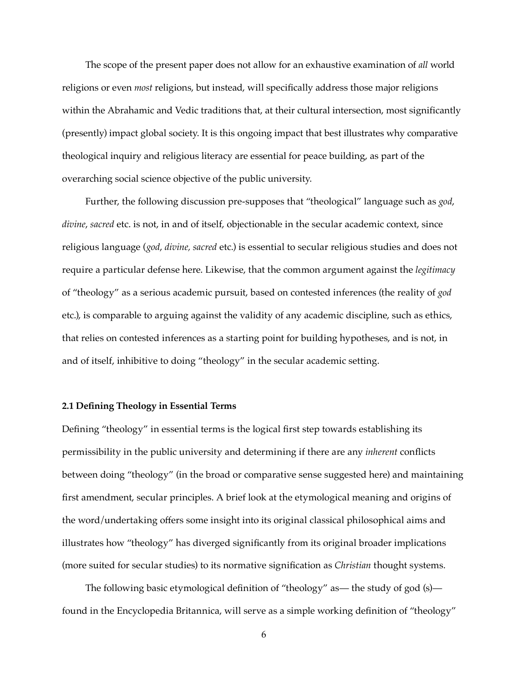The scope of the present paper does not allow for an exhaustive examination of *all* world religions or even *most* religions, but instead, will specifically address those major religions within the Abrahamic and Vedic traditions that, at their cultural intersection, most significantly (presently) impact global society. It is this ongoing impact that best illustrates why comparative theological inquiry and religious literacy are essential for peace building, as part of the overarching social science objective of the public university.

Further, the following discussion pre-supposes that "theological" language such as *god*, *divine*, *sacred* etc. is not, in and of itself, objectionable in the secular academic context, since religious language (*god*, *divine, sacred* etc.) is essential to secular religious studies and does not require a particular defense here. Likewise, that the common argument against the *legitimacy* of "theology" as a serious academic pursuit, based on contested inferences (the reality of *god* etc.), is comparable to arguing against the validity of any academic discipline, such as ethics, that relies on contested inferences as a starting point for building hypotheses, and is not, in and of itself, inhibitive to doing "theology" in the secular academic setting.

#### **2.1 Defining Theology in Essential Terms**

Defining "theology" in essential terms is the logical first step towards establishing its permissibility in the public university and determining if there are any *inherent* conflicts between doing "theology" (in the broad or comparative sense suggested here) and maintaining first amendment, secular principles. A brief look at the etymological meaning and origins of the word/undertaking offers some insight into its original classical philosophical aims and illustrates how "theology" has diverged significantly from its original broader implications (more suited for secular studies) to its normative signification as *Christian* thought systems.

The following basic etymological definition of "theology" as— the study of god (s) found in the Encyclopedia Britannica, will serve as a simple working definition of "theology"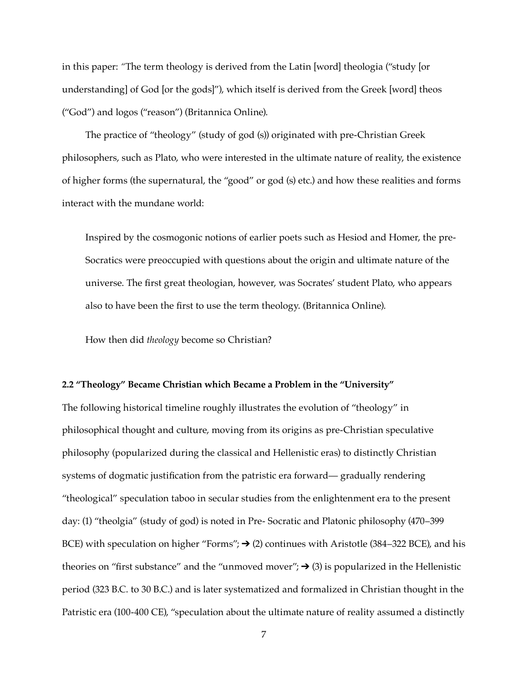in this paper: *"*The term theology is derived from the Latin [word] theologia ("study [or understanding] of God [or the gods]"), which itself is derived from the Greek [word] theos ("God") and logos ("reason") (Britannica Online).

The practice of "theology" (study of god (s)) originated with pre-Christian Greek philosophers, such as Plato, who were interested in the ultimate nature of reality, the existence of higher forms (the supernatural, the "good" or god (s) etc.) and how these realities and forms interact with the mundane world:

Inspired by the cosmogonic notions of earlier poets such as Hesiod and Homer, the pre-Socratics were preoccupied with questions about the origin and ultimate nature of the universe. The first great theologian, however, was Socrates' student Plato, who appears also to have been the first to use the term theology. (Britannica Online).

How then did *theology* become so Christian?

#### **2.2 "Theology" Became Christian which Became a Problem in the "University"**

The following historical timeline roughly illustrates the evolution of "theology" in philosophical thought and culture, moving from its origins as pre-Christian speculative philosophy (popularized during the classical and Hellenistic eras) to distinctly Christian systems of dogmatic justification from the patristic era forward— gradually rendering "theological" speculation taboo in secular studies from the enlightenment era to the present day: (1) "theolgia" (study of god) is noted in Pre- Socratic and Platonic philosophy (470–399 BCE) with speculation on higher "Forms";  $\rightarrow$  (2) continues with Aristotle (384–322 BCE), and his theories on "first substance" and the "unmoved mover";  $\rightarrow$  (3) is popularized in the Hellenistic period (323 B.C. to 30 B.C.) and is later systematized and formalized in Christian thought in the Patristic era (100-400 CE), "speculation about the ultimate nature of reality assumed a distinctly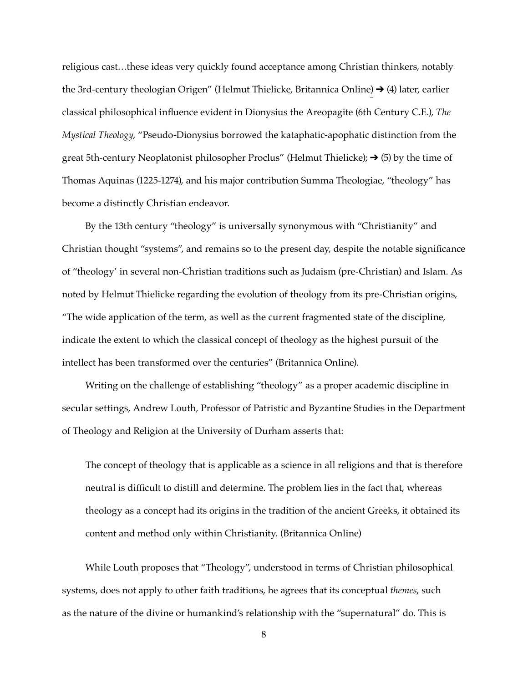religious cast…these ideas very quickly found acceptance among Christian thinkers, notably the 3rd-century theologian Origen" (Helmut Thielicke, Britannica Online)  $\rightarrow$  (4) later, earlier classical philosophical influence evident in Dionysius the Areopagite (6th Century C.E.), *The Mystical Theology*, "Pseudo-Dionysius borrowed the kataphatic-apophatic distinction from the great 5th-century Neoplatonist philosopher Proclus" (Helmut Thielicke);  $\rightarrow$  (5) by the time of Thomas Aquinas (1225-1274), and his major contribution Summa Theologiae, "theology" has become a distinctly Christian endeavor.

By the 13th century "theology" is universally synonymous with "Christianity" and Christian thought "systems", and remains so to the present day, despite the notable significance of "theology' in several non-Christian traditions such as Judaism (pre-Christian) and Islam. As noted by Helmut Thielicke regarding the evolution of theology from its pre-Christian origins, "The wide application of the term, as well as the current fragmented state of the discipline, indicate the extent to which the classical concept of theology as the highest pursuit of the intellect has been transformed over the centuries" (Britannica Online).

Writing on the challenge of establishing "theology" as a proper academic discipline in secular settings, Andrew Louth, Professor of Patristic and Byzantine Studies in the Department of Theology and Religion at the University of Durham asserts that:

The concept of theology that is applicable as a science in all religions and that is therefore neutral is difficult to distill and determine. The problem lies in the fact that, whereas theology as a concept had its origins in the tradition of the ancient Greeks, it obtained its content and method only within Christianity. (Britannica Online)

While Louth proposes that "Theology", understood in terms of Christian philosophical systems, does not apply to other faith traditions, he agrees that its conceptual *themes*, such as the nature of the divine or humankind's relationship with the "supernatural" do. This is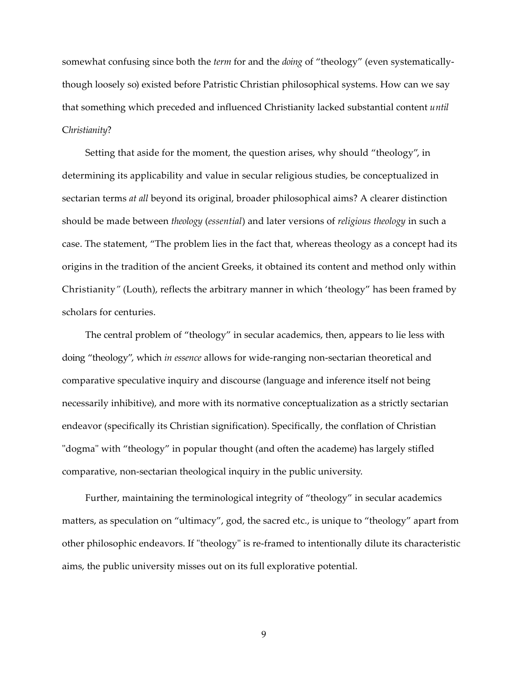somewhat confusing since both the *term* for and the *doing* of "theology" (even systematicallythough loosely so) existed before Patristic Christian philosophical systems. How can we say that something which preceded and influenced Christianity lacked substantial content *until* C*hristianity*?

Setting that aside for the moment, the question arises, why should "theology", in determining its applicability and value in secular religious studies, be conceptualized in sectarian terms *at all* beyond its original, broader philosophical aims? A clearer distinction should be made between *theology* (*essential*) and later versions of *religious theology* in such a case. The statement, "The problem lies in the fact that, whereas theology as a concept had its origins in the tradition of the ancient Greeks, it obtained its content and method only within Christianity*"* (Louth), reflects the arbitrary manner in which 'theology" has been framed by scholars for centuries.

The central problem of "theology" in secular academics, then, appears to lie less with doing "theology", which *in essence* allows for wide-ranging non-sectarian theoretical and comparative speculative inquiry and discourse (language and inference itself not being necessarily inhibitive), and more with its normative conceptualization as a strictly sectarian endeavor (specifically its Christian signification). Specifically, the conflation of Christian "dogma" with "theology" in popular thought (and often the academe) has largely stifled comparative, non-sectarian theological inquiry in the public university.

Further, maintaining the terminological integrity of "theology" in secular academics matters, as speculation on "ultimacy", god, the sacred etc., is unique to "theology" apart from other philosophic endeavors. If "theology" is re-framed to intentionally dilute its characteristic aims, the public university misses out on its full explorative potential.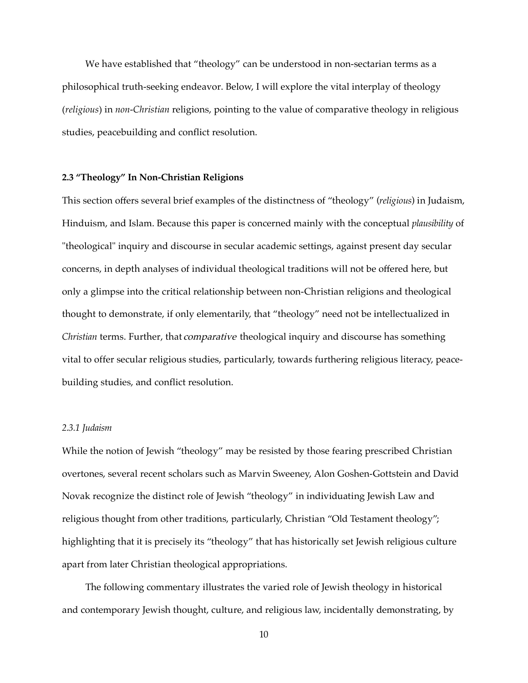We have established that "theology" can be understood in non-sectarian terms as a philosophical truth-seeking endeavor. Below, I will explore the vital interplay of theology (*religious*) in *non-Christian* religions, pointing to the value of comparative theology in religious studies, peacebuilding and conflict resolution.

#### **2.3 "Theology" In Non-Christian Religions**

This section offers several brief examples of the distinctness of "theology" (*religious*) in Judaism, Hinduism, and Islam. Because this paper is concerned mainly with the conceptual *plausibility* of "theological" inquiry and discourse in secular academic settings, against present day secular concerns, in depth analyses of individual theological traditions will not be offered here, but only a glimpse into the critical relationship between non-Christian religions and theological thought to demonstrate, if only elementarily, that "theology" need not be intellectualized in *Christian* terms. Further, that comparative theological inquiry and discourse has something vital to offer secular religious studies, particularly, towards furthering religious literacy, peacebuilding studies, and conflict resolution.

#### *2.3.1 Judaism*

While the notion of Jewish "theology" may be resisted by those fearing prescribed Christian overtones, several recent scholars such as Marvin Sweeney, Alon Goshen-Gottstein and David Novak recognize the distinct role of Jewish "theology" in individuating Jewish Law and religious thought from other traditions, particularly, Christian "Old Testament theology"; highlighting that it is precisely its "theology" that has historically set Jewish religious culture apart from later Christian theological appropriations.

The following commentary illustrates the varied role of Jewish theology in historical and contemporary Jewish thought, culture, and religious law, incidentally demonstrating, by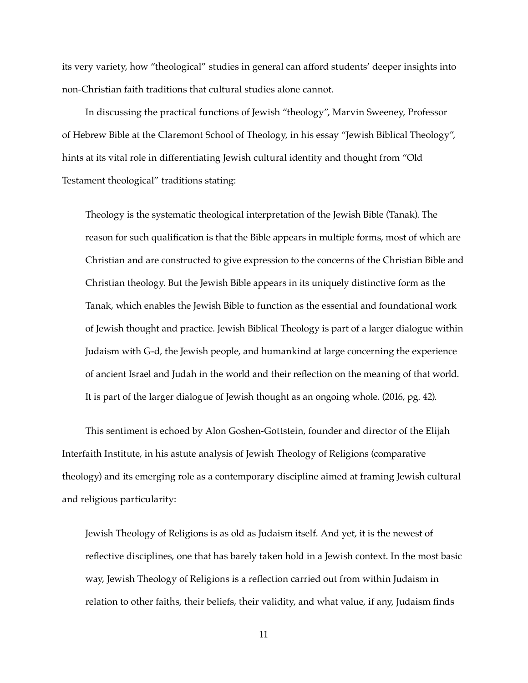its very variety, how "theological" studies in general can afford students' deeper insights into non-Christian faith traditions that cultural studies alone cannot.

In discussing the practical functions of Jewish "theology", Marvin Sweeney, Professor of Hebrew Bible at the Claremont School of Theology, in his essay "Jewish Biblical Theology", hints at its vital role in differentiating Jewish cultural identity and thought from "Old Testament theological" traditions stating:

Theology is the systematic theological interpretation of the Jewish Bible (Tanak). The reason for such qualification is that the Bible appears in multiple forms, most of which are Christian and are constructed to give expression to the concerns of the Christian Bible and Christian theology. But the Jewish Bible appears in its uniquely distinctive form as the Tanak, which enables the Jewish Bible to function as the essential and foundational work of Jewish thought and practice. Jewish Biblical Theology is part of a larger dialogue within Judaism with G-d, the Jewish people, and humankind at large concerning the experience of ancient Israel and Judah in the world and their reflection on the meaning of that world. It is part of the larger dialogue of Jewish thought as an ongoing whole. (2016, pg. 42).

This sentiment is echoed by Alon Goshen-Gottstein, founder and director of the Elijah Interfaith Institute, in his astute analysis of Jewish Theology of Religions (comparative theology) and its emerging role as a contemporary discipline aimed at framing Jewish cultural and religious particularity:

Jewish Theology of Religions is as old as Judaism itself. And yet, it is the newest of reflective disciplines, one that has barely taken hold in a Jewish context. In the most basic way, Jewish Theology of Religions is a reflection carried out from within Judaism in relation to other faiths, their beliefs, their validity, and what value, if any, Judaism finds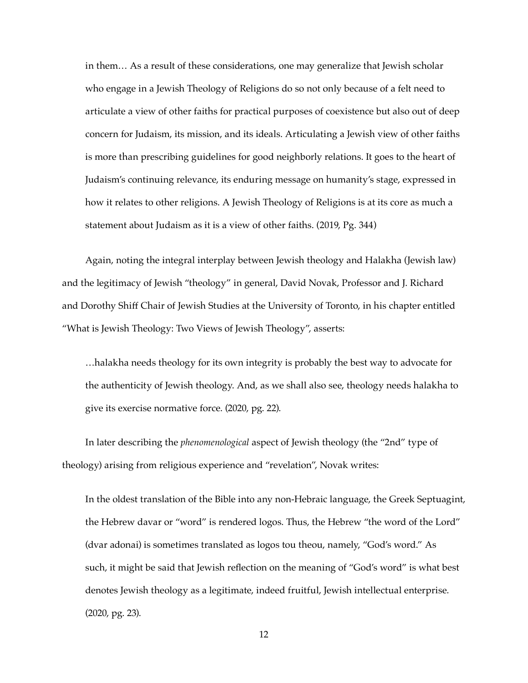in them… As a result of these considerations, one may generalize that Jewish scholar who engage in a Jewish Theology of Religions do so not only because of a felt need to articulate a view of other faiths for practical purposes of coexistence but also out of deep concern for Judaism, its mission, and its ideals. Articulating a Jewish view of other faiths is more than prescribing guidelines for good neighborly relations. It goes to the heart of Judaism's continuing relevance, its enduring message on humanity's stage, expressed in how it relates to other religions. A Jewish Theology of Religions is at its core as much a statement about Judaism as it is a view of other faiths. (2019, Pg. 344)

Again, noting the integral interplay between Jewish theology and Halakha (Jewish law) and the legitimacy of Jewish "theology" in general, David Novak, Professor and J. Richard and Dorothy Shiff Chair of Jewish Studies at the University of Toronto, in his chapter entitled "What is Jewish Theology: Two Views of Jewish Theology", asserts:

…halakha needs theology for its own integrity is probably the best way to advocate for the authenticity of Jewish theology. And, as we shall also see, theology needs halakha to give its exercise normative force. (2020, pg. 22).

In later describing the *phenomenological* aspect of Jewish theology (the "2nd" type of theology) arising from religious experience and "revelation", Novak writes:

In the oldest translation of the Bible into any non-Hebraic language, the Greek Septuagint, the Hebrew davar or "word" is rendered logos. Thus, the Hebrew "the word of the Lord" (dvar adonai) is sometimes translated as logos tou theou, namely, "God's word." As such, it might be said that Jewish reflection on the meaning of "God's word" is what best denotes Jewish theology as a legitimate, indeed fruitful, Jewish intellectual enterprise. (2020, pg. 23).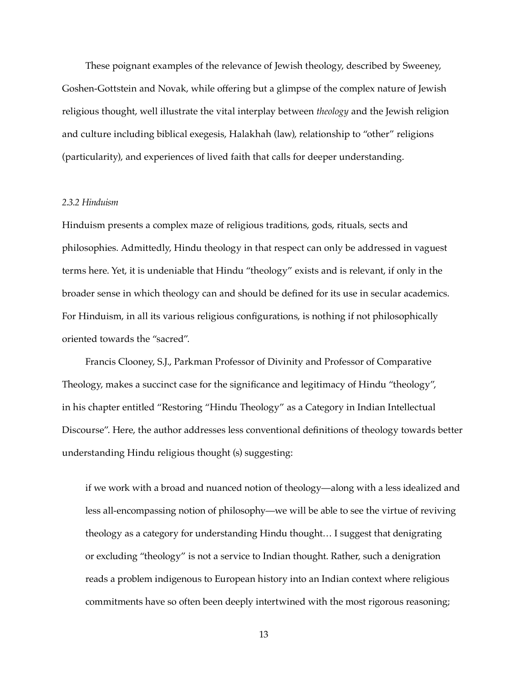These poignant examples of the relevance of Jewish theology, described by Sweeney, Goshen-Gottstein and Novak, while offering but a glimpse of the complex nature of Jewish religious thought, well illustrate the vital interplay between *theology* and the Jewish religion and culture including biblical exegesis, Halakhah (law), relationship to "other" religions (particularity), and experiences of lived faith that calls for deeper understanding.

#### *2.3.2 Hinduism*

Hinduism presents a complex maze of religious traditions, gods, rituals, sects and philosophies. Admittedly, Hindu theology in that respect can only be addressed in vaguest terms here. Yet, it is undeniable that Hindu "theology" exists and is relevant, if only in the broader sense in which theology can and should be defined for its use in secular academics. For Hinduism, in all its various religious configurations, is nothing if not philosophically oriented towards the "sacred".

Francis Clooney, S.J., Parkman Professor of Divinity and Professor of Comparative Theology, makes a succinct case for the significance and legitimacy of Hindu "theology", in his chapter entitled "Restoring "Hindu Theology" as a Category in Indian Intellectual Discourse". Here, the author addresses less conventional definitions of theology towards better understanding Hindu religious thought (s) suggesting:

if we work with a broad and nuanced notion of theology—along with a less idealized and less all-encompassing notion of philosophy—we will be able to see the virtue of reviving theology as a category for understanding Hindu thought… I suggest that denigrating or excluding "theology" is not a service to Indian thought. Rather, such a denigration reads a problem indigenous to European history into an Indian context where religious commitments have so often been deeply intertwined with the most rigorous reasoning;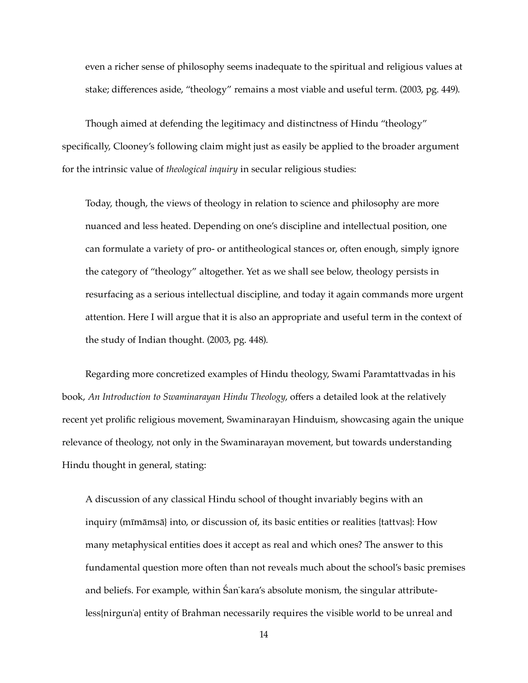even a richer sense of philosophy seems inadequate to the spiritual and religious values at stake; differences aside, "theology" remains a most viable and useful term. (2003, pg. 449).

Though aimed at defending the legitimacy and distinctness of Hindu "theology" specifically, Clooney's following claim might just as easily be applied to the broader argument for the intrinsic value of *theological inquiry* in secular religious studies:

Today, though, the views of theology in relation to science and philosophy are more nuanced and less heated. Depending on one's discipline and intellectual position, one can formulate a variety of pro- or antitheological stances or, often enough, simply ignore the category of "theology" altogether. Yet as we shall see below, theology persists in resurfacing as a serious intellectual discipline, and today it again commands more urgent attention. Here I will argue that it is also an appropriate and useful term in the context of the study of Indian thought. (2003, pg. 448).

Regarding more concretized examples of Hindu theology, Swami Paramtattvadas in his book, *An Introduction to Swaminarayan Hindu Theology*, offers a detailed look at the relatively recent yet prolific religious movement, Swaminarayan Hinduism, showcasing again the unique relevance of theology, not only in the Swaminarayan movement, but towards understanding Hindu thought in general, stating:

A discussion of any classical Hindu school of thought invariably begins with an inquiry (mīmāmsā} into, or discussion of, its basic entities or realities {tattvas}: How many metaphysical entities does it accept as real and which ones? The answer to this fundamental question more often than not reveals much about the school's basic premises and beliefs. For example, within Śan˙kara's absolute monism, the singular attributeless{nirgun˙a} entity of Brahman necessarily requires the visible world to be unreal and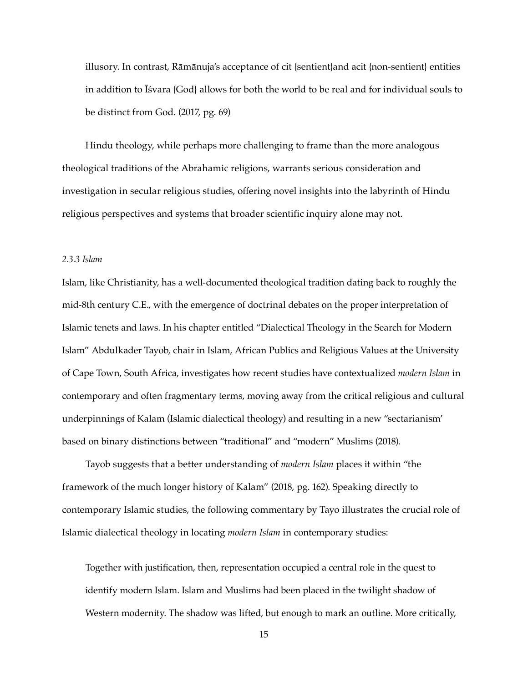illusory. In contrast, Rāmānuja's acceptance of cit {sentient}and acit {non-sentient} entities in addition to Īśvara {God} allows for both the world to be real and for individual souls to be distinct from God. (2017, pg. 69)

Hindu theology, while perhaps more challenging to frame than the more analogous theological traditions of the Abrahamic religions, warrants serious consideration and investigation in secular religious studies, offering novel insights into the labyrinth of Hindu religious perspectives and systems that broader scientific inquiry alone may not.

#### *2.3.3 Islam*

Islam, like Christianity, has a well-documented theological tradition dating back to roughly the mid-8th century C.E., with the emergence of doctrinal debates on the proper interpretation of Islamic tenets and laws. In his chapter entitled "Dialectical Theology in the Search for Modern Islam" Abdulkader Tayob, chair in Islam, African Publics and Religious Values at the University of Cape Town, South Africa, investigates how recent studies have contextualized *modern Islam* in contemporary and often fragmentary terms, moving away from the critical religious and cultural underpinnings of Kalam (Islamic dialectical theology) and resulting in a new "sectarianism' based on binary distinctions between "traditional" and "modern" Muslims (2018).

Tayob suggests that a better understanding of *modern Islam* places it within "the framework of the much longer history of Kalam" (2018, pg. 162). Speaking directly to contemporary Islamic studies, the following commentary by Tayo illustrates the crucial role of Islamic dialectical theology in locating *modern Islam* in contemporary studies:

Together with justification, then, representation occupied a central role in the quest to identify modern Islam. Islam and Muslims had been placed in the twilight shadow of Western modernity. The shadow was lifted, but enough to mark an outline. More critically,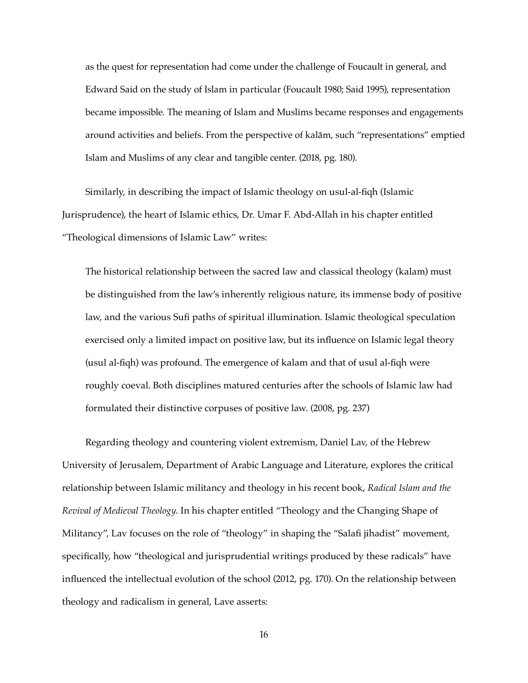as the quest for representation had come under the challenge of Foucault in general, and Edward Said on the study of Islam in particular (Foucault 1980; Said 1995), representation became impossible. The meaning of Islam and Muslims became responses and engagements around activities and beliefs. From the perspective of kalām, such "representations" emptied Islam and Muslims of any clear and tangible center. (2018, pg. 180).

Similarly, in describing the impact of Islamic theology on usul-al-fiqh (Islamic Jurisprudence), the heart of Islamic ethics, Dr. Umar F. Abd-Allah in his chapter entitled "Theological dimensions of Islamic Law" writes:

The historical relationship between the sacred law and classical theology (kalam) must be distinguished from the law's inherently religious nature, its immense body of positive law, and the various Sufi paths of spiritual illumination. Islamic theological speculation exercised only a limited impact on positive law, but its influence on Islamic legal theory (usul al-fiqh) was profound. The emergence of kalam and that of usul al-fiqh were roughly coeval. Both disciplines matured centuries after the schools of Islamic law had formulated their distinctive corpuses of positive law. (2008, pg. 237)

Regarding theology and countering violent extremism, Daniel Lav, of the Hebrew University of Jerusalem, Department of Arabic Language and Literature, explores the critical relationship between Islamic militancy and theology in his recent book, *Radical Islam and the Revival of Medieval Theology*. In his chapter entitled "Theology and the Changing Shape of Militancy", Lav focuses on the role of "theology" in shaping the "Salafi jihadist" movement, specifically, how "theological and jurisprudential writings produced by these radicals" have influenced the intellectual evolution of the school (2012, pg. 170). On the relationship between theology and radicalism in general, Lave asserts: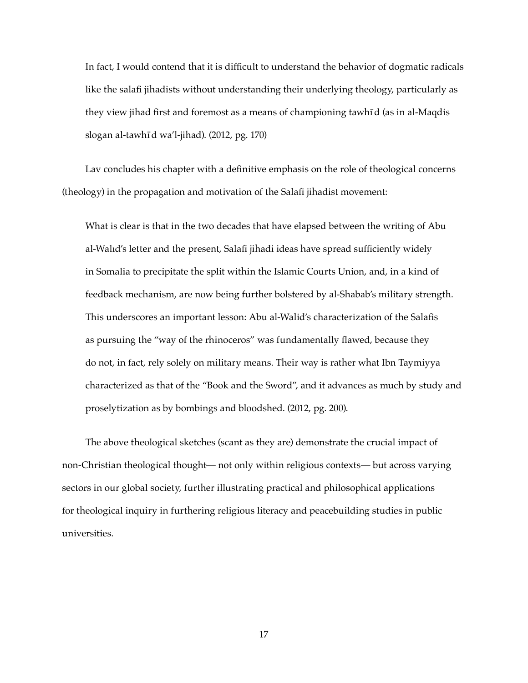In fact, I would contend that it is difficult to understand the behavior of dogmatic radicals like the salafi jihadists without understanding their underlying theology, particularly as they view jihad first and foremost as a means of championing tawhı ̄d (as in al-Maqdis slogan al-tawhī d wa'l-jihad). (2012, pg. 170)

Lav concludes his chapter with a definitive emphasis on the role of theological concerns (theology) in the propagation and motivation of the Salafi jihadist movement:

What is clear is that in the two decades that have elapsed between the writing of Abu al-Walıd's letter and the present, Salafi jihadi ideas have spread sufficiently widely in Somalia to precipitate the split within the Islamic Courts Union, and, in a kind of feedback mechanism, are now being further bolstered by al-Shabab's military strength. This underscores an important lesson: Abu al-Walid's characterization of the Salafis as pursuing the "way of the rhinoceros" was fundamentally flawed, because they do not, in fact, rely solely on military means. Their way is rather what Ibn Taymiyya characterized as that of the "Book and the Sword", and it advances as much by study and proselytization as by bombings and bloodshed. (2012, pg. 200).

The above theological sketches (scant as they are) demonstrate the crucial impact of non-Christian theological thought— not only within religious contexts— but across varying sectors in our global society, further illustrating practical and philosophical applications for theological inquiry in furthering religious literacy and peacebuilding studies in public universities.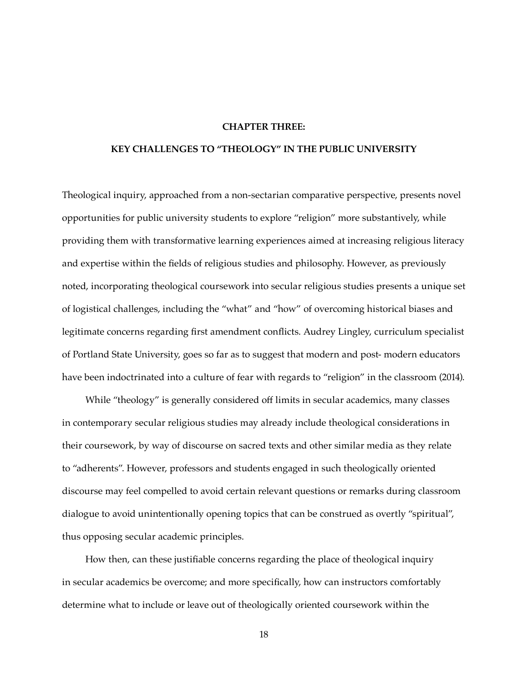#### **CHAPTER THREE:**

# **KEY CHALLENGES TO "THEOLOGY" IN THE PUBLIC UNIVERSITY**

Theological inquiry, approached from a non-sectarian comparative perspective, presents novel opportunities for public university students to explore "religion" more substantively, while providing them with transformative learning experiences aimed at increasing religious literacy and expertise within the fields of religious studies and philosophy. However, as previously noted, incorporating theological coursework into secular religious studies presents a unique set of logistical challenges, including the "what" and "how" of overcoming historical biases and legitimate concerns regarding first amendment conflicts. Audrey Lingley, curriculum specialist of Portland State University, goes so far as to suggest that modern and post- modern educators have been indoctrinated into a culture of fear with regards to "religion" in the classroom (2014).

While "theology" is generally considered off limits in secular academics, many classes in contemporary secular religious studies may already include theological considerations in their coursework, by way of discourse on sacred texts and other similar media as they relate to "adherents". However, professors and students engaged in such theologically oriented discourse may feel compelled to avoid certain relevant questions or remarks during classroom dialogue to avoid unintentionally opening topics that can be construed as overtly "spiritual", thus opposing secular academic principles.

How then, can these justifiable concerns regarding the place of theological inquiry in secular academics be overcome; and more specifically, how can instructors comfortably determine what to include or leave out of theologically oriented coursework within the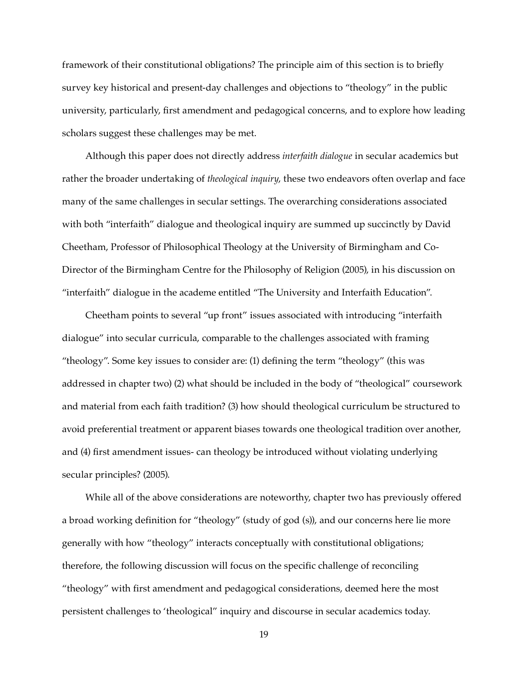framework of their constitutional obligations? The principle aim of this section is to briefly survey key historical and present-day challenges and objections to "theology" in the public university, particularly, first amendment and pedagogical concerns, and to explore how leading scholars suggest these challenges may be met.

Although this paper does not directly address *interfaith dialogue* in secular academics but rather the broader undertaking of *theological inquiry*, these two endeavors often overlap and face many of the same challenges in secular settings. The overarching considerations associated with both "interfaith" dialogue and theological inquiry are summed up succinctly by David Cheetham, Professor of Philosophical Theology at the University of Birmingham and Co-Director of the Birmingham Centre for the Philosophy of Religion (2005), in his discussion on "interfaith" dialogue in the academe entitled "The University and Interfaith Education".

Cheetham points to several "up front" issues associated with introducing "interfaith dialogue" into secular curricula, comparable to the challenges associated with framing "theology". Some key issues to consider are: (1) defining the term "theology" (this was addressed in chapter two) (2) what should be included in the body of "theological" coursework and material from each faith tradition? (3) how should theological curriculum be structured to avoid preferential treatment or apparent biases towards one theological tradition over another, and (4) first amendment issues- can theology be introduced without violating underlying secular principles? (2005).

While all of the above considerations are noteworthy, chapter two has previously offered a broad working definition for "theology" (study of god (s)), and our concerns here lie more generally with how "theology" interacts conceptually with constitutional obligations; therefore, the following discussion will focus on the specific challenge of reconciling "theology" with first amendment and pedagogical considerations, deemed here the most persistent challenges to 'theological" inquiry and discourse in secular academics today.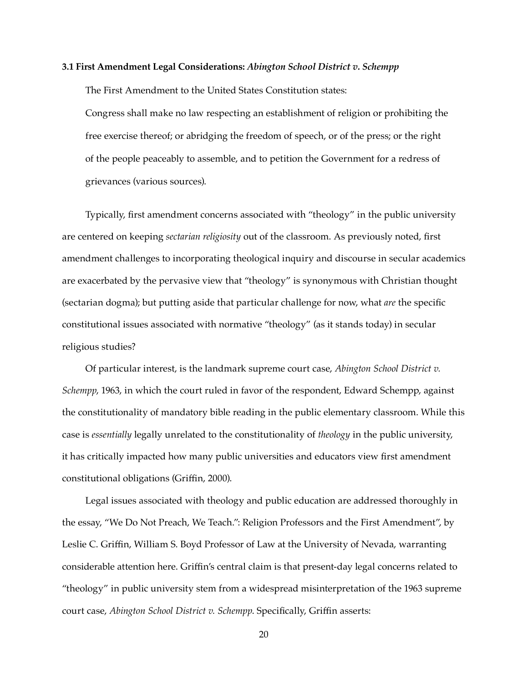### **3.1 First Amendment Legal Considerations:** *Abington School District v. Schempp*

The First Amendment to the United States Constitution states:

Congress shall make no law respecting an establishment of religion or prohibiting the free exercise thereof; or abridging the freedom of speech, or of the press; or the right of the people peaceably to assemble, and to petition the Government for a redress of grievances (various sources).

Typically, first amendment concerns associated with "theology" in the public university are centered on keeping *sectarian religiosity* out of the classroom. As previously noted, first amendment challenges to incorporating theological inquiry and discourse in secular academics are exacerbated by the pervasive view that "theology" is synonymous with Christian thought (sectarian dogma); but putting aside that particular challenge for now, what *are* the specific constitutional issues associated with normative "theology" (as it stands today) in secular religious studies?

Of particular interest, is the landmark supreme court case, *Abington School District v. Schempp*, 1963, in which the court ruled in favor of the respondent, Edward Schempp, against the constitutionality of mandatory bible reading in the public elementary classroom. While this case is *essentially* legally unrelated to the constitutionality of *theology* in the public university, it has critically impacted how many public universities and educators view first amendment constitutional obligations (Griffin, 2000).

Legal issues associated with theology and public education are addressed thoroughly in the essay, "We Do Not Preach, We Teach.": Religion Professors and the First Amendment", by Leslie C. Griffin, William S. Boyd Professor of Law at the University of Nevada, warranting considerable attention here. Griffin's central claim is that present-day legal concerns related to "theology" in public university stem from a widespread misinterpretation of the 1963 supreme court case, *Abington School District v. Schempp*. Specifically, Griffin asserts: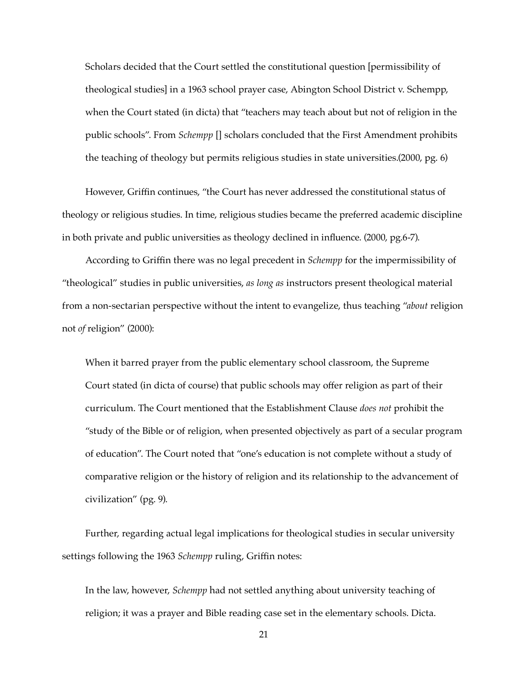Scholars decided that the Court settled the constitutional question [permissibility of theological studies] in a 1963 school prayer case, Abington School District v. Schempp, when the Court stated (in dicta) that "teachers may teach about but not of religion in the public schools". From *Schempp* [] scholars concluded that the First Amendment prohibits the teaching of theology but permits religious studies in state universities.(2000, pg. 6)

However, Griffin continues, "the Court has never addressed the constitutional status of theology or religious studies. In time, religious studies became the preferred academic discipline in both private and public universities as theology declined in influence. (2000, pg.6-7).

According to Griffin there was no legal precedent in *Schempp* for the impermissibility of "theological" studies in public universities, *as long as* instructors present theological material from a non-sectarian perspective without the intent to evangelize, thus teaching "*about* religion not *of* religion" (2000):

When it barred prayer from the public elementary school classroom, the Supreme Court stated (in dicta of course) that public schools may offer religion as part of their curriculum. The Court mentioned that the Establishment Clause *does not* prohibit the "study of the Bible or of religion, when presented objectively as part of a secular program of education". The Court noted that "one's education is not complete without a study of comparative religion or the history of religion and its relationship to the advancement of civilization" (pg. 9).

Further, regarding actual legal implications for theological studies in secular university settings following the 1963 *Schempp* ruling, Griffin notes:

In the law, however, *Schempp* had not settled anything about university teaching of religion; it was a prayer and Bible reading case set in the elementary schools. Dicta.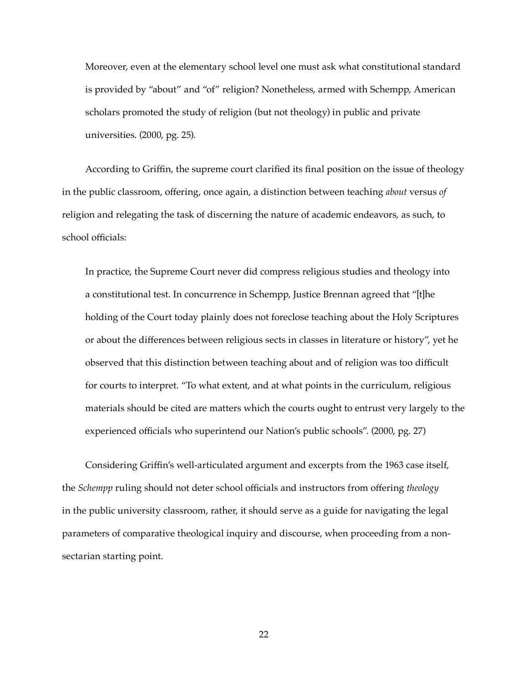Moreover, even at the elementary school level one must ask what constitutional standard is provided by "about" and "of" religion? Nonetheless, armed with Schempp, American scholars promoted the study of religion (but not theology) in public and private universities. (2000, pg. 25).

According to Griffin, the supreme court clarified its final position on the issue of theology in the public classroom, offering, once again, a distinction between teaching *about* versus *of*  religion and relegating the task of discerning the nature of academic endeavors, as such, to school officials:

In practice, the Supreme Court never did compress religious studies and theology into a constitutional test. In concurrence in Schempp, Justice Brennan agreed that "[t]he holding of the Court today plainly does not foreclose teaching about the Holy Scriptures or about the differences between religious sects in classes in literature or history", yet he observed that this distinction between teaching about and of religion was too difficult for courts to interpret. "To what extent, and at what points in the curriculum, religious materials should be cited are matters which the courts ought to entrust very largely to the experienced officials who superintend our Nation's public schools". (2000, pg. 27)

Considering Griffin's well-articulated argument and excerpts from the 1963 case itself, the *Schempp* ruling should not deter school officials and instructors from offering *theology* in the public university classroom, rather, it should serve as a guide for navigating the legal parameters of comparative theological inquiry and discourse, when proceeding from a nonsectarian starting point.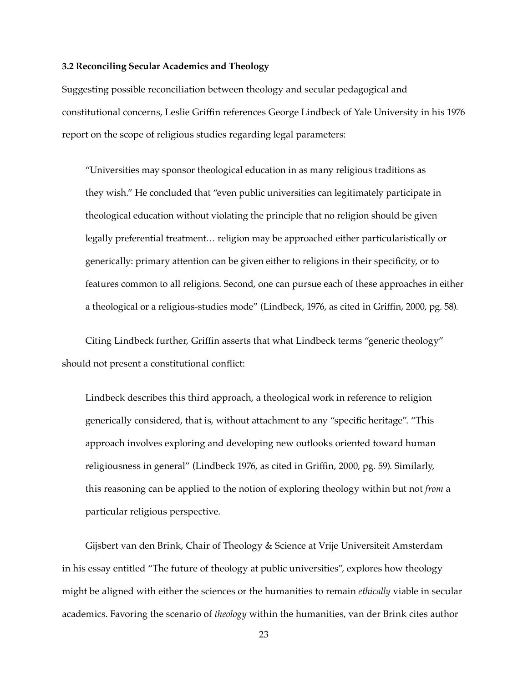#### **3.2 Reconciling Secular Academics and Theology**

Suggesting possible reconciliation between theology and secular pedagogical and constitutional concerns, Leslie Griffin references George Lindbeck of Yale University in his 1976 report on the scope of religious studies regarding legal parameters:

"Universities may sponsor theological education in as many religious traditions as they wish." He concluded that "even public universities can legitimately participate in theological education without violating the principle that no religion should be given legally preferential treatment… religion may be approached either particularistically or generically: primary attention can be given either to religions in their specificity, or to features common to all religions. Second, one can pursue each of these approaches in either a theological or a religious-studies mode" (Lindbeck, 1976, as cited in Griffin, 2000, pg. 58).

Citing Lindbeck further, Griffin asserts that what Lindbeck terms "generic theology" should not present a constitutional conflict:

Lindbeck describes this third approach, a theological work in reference to religion generically considered, that is, without attachment to any "specific heritage". "This approach involves exploring and developing new outlooks oriented toward human religiousness in general" (Lindbeck 1976, as cited in Griffin, 2000, pg. 59). Similarly, this reasoning can be applied to the notion of exploring theology within but not *from* a particular religious perspective.

Gijsbert van den Brink, Chair of Theology & Science at Vrije Universiteit Amsterdam in his essay entitled "The future of theology at public universities", explores how theology might be aligned with either the sciences or the humanities to remain *ethically* viable in secular academics. Favoring the scenario of *theology* within the humanities, van der Brink cites author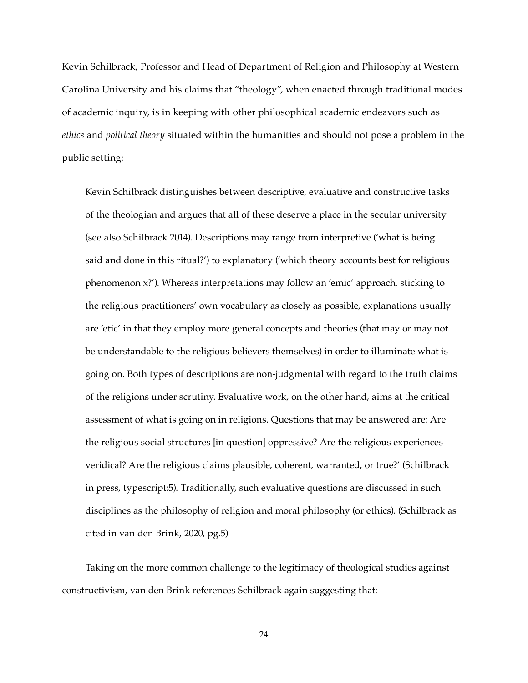Kevin Schilbrack, Professor and Head of Department of Religion and Philosophy at Western Carolina University and his claims that "theology", when enacted through traditional modes of academic inquiry, is in keeping with other philosophical academic endeavors such as *ethics* and *political theory* situated within the humanities and should not pose a problem in the public setting:

Kevin Schilbrack distinguishes between descriptive, evaluative and constructive tasks of the theologian and argues that all of these deserve a place in the secular university (see also Schilbrack 2014). Descriptions may range from interpretive ('what is being said and done in this ritual?') to explanatory ('which theory accounts best for religious phenomenon x?'). Whereas interpretations may follow an 'emic' approach, sticking to the religious practitioners' own vocabulary as closely as possible, explanations usually are 'etic' in that they employ more general concepts and theories (that may or may not be understandable to the religious believers themselves) in order to illuminate what is going on. Both types of descriptions are non-judgmental with regard to the truth claims of the religions under scrutiny. Evaluative work, on the other hand, aims at the critical assessment of what is going on in religions. Questions that may be answered are: Are the religious social structures [in question] oppressive? Are the religious experiences veridical? Are the religious claims plausible, coherent, warranted, or true?' (Schilbrack in press, typescript:5). Traditionally, such evaluative questions are discussed in such disciplines as the philosophy of religion and moral philosophy (or ethics). (Schilbrack as cited in van den Brink, 2020, pg.5)

Taking on the more common challenge to the legitimacy of theological studies against constructivism, van den Brink references Schilbrack again suggesting that: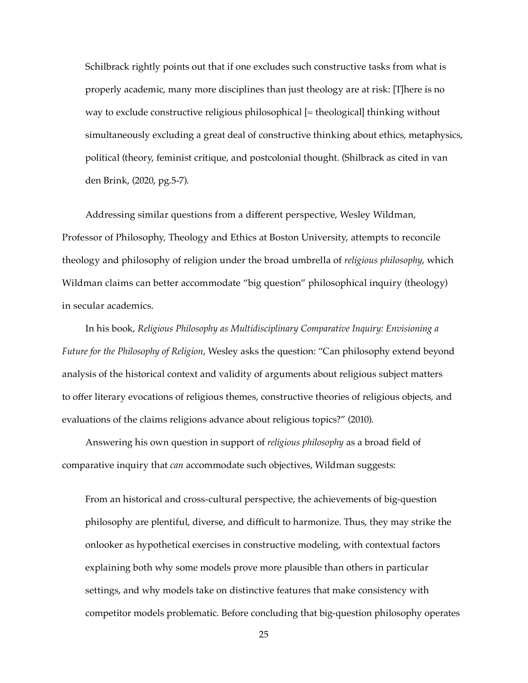Schilbrack rightly points out that if one excludes such constructive tasks from what is properly academic, many more disciplines than just theology are at risk: [T]here is no way to exclude constructive religious philosophical [= theological] thinking without simultaneously excluding a great deal of constructive thinking about ethics, metaphysics, political (theory, feminist critique, and postcolonial thought. (Shilbrack as cited in van den Brink, (2020, pg.5-7).

Addressing similar questions from a different perspective, Wesley Wildman, Professor of Philosophy, Theology and Ethics at Boston University, attempts to reconcile theology and philosophy of religion under the broad umbrella of *religious philosophy*, which Wildman claims can better accommodate "big question" philosophical inquiry (theology) in secular academics.

In his book, *Religious Philosophy as Multidisciplinary Comparative Inquiry: Envisioning a Future for the Philosophy of Religion*, Wesley asks the question: "Can philosophy extend beyond analysis of the historical context and validity of arguments about religious subject matters to offer literary evocations of religious themes, constructive theories of religious objects, and evaluations of the claims religions advance about religious topics?" (2010).

Answering his own question in support of *religious philosophy* as a broad field of comparative inquiry that *can* accommodate such objectives, Wildman suggests:

From an historical and cross-cultural perspective, the achievements of big-question philosophy are plentiful, diverse, and difficult to harmonize. Thus, they may strike the onlooker as hypothetical exercises in constructive modeling, with contextual factors explaining both why some models prove more plausible than others in particular settings, and why models take on distinctive features that make consistency with competitor models problematic. Before concluding that big-question philosophy operates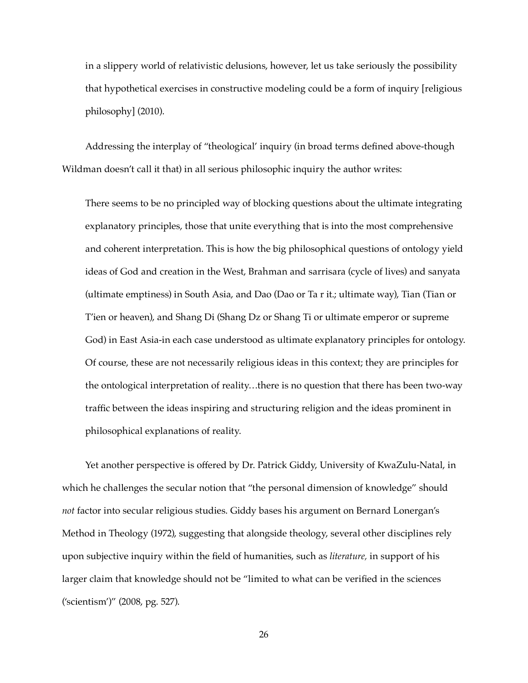in a slippery world of relativistic delusions, however, let us take seriously the possibility that hypothetical exercises in constructive modeling could be a form of inquiry [religious philosophy] (2010).

Addressing the interplay of "theological' inquiry (in broad terms defined above-though Wildman doesn't call it that) in all serious philosophic inquiry the author writes:

There seems to be no principled way of blocking questions about the ultimate integrating explanatory principles, those that unite everything that is into the most comprehensive and coherent interpretation. This is how the big philosophical questions of ontology yield ideas of God and creation in the West, Brahman and sarrisara (cycle of lives) and sanyata (ultimate emptiness) in South Asia, and Dao (Dao or Ta r it.; ultimate way), Tian (Tian or T'ien or heaven), and Shang Di (Shang Dz or Shang Ti or ultimate emperor or supreme God) in East Asia-in each case understood as ultimate explanatory principles for ontology. Of course, these are not necessarily religious ideas in this context; they are principles for the ontological interpretation of reality…there is no question that there has been two-way traffic between the ideas inspiring and structuring religion and the ideas prominent in philosophical explanations of reality.

Yet another perspective is offered by Dr. Patrick Giddy, University of KwaZulu-Natal, in which he challenges the secular notion that "the personal dimension of knowledge" should *not* factor into secular religious studies. Giddy bases his argument on Bernard Lonergan's Method in Theology (1972), suggesting that alongside theology, several other disciplines rely upon subjective inquiry within the field of humanities, such as *literature,* in support of his larger claim that knowledge should not be "limited to what can be verified in the sciences ('scientism')" (2008, pg. 527).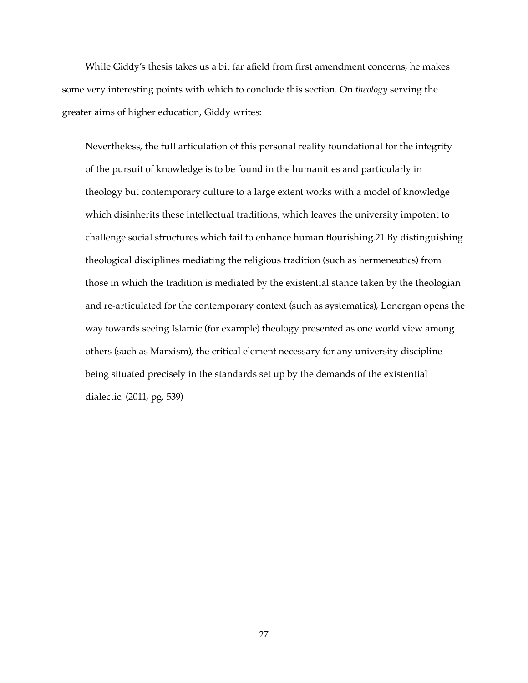While Giddy's thesis takes us a bit far afield from first amendment concerns, he makes some very interesting points with which to conclude this section. On *theology* serving the greater aims of higher education, Giddy writes:

Nevertheless, the full articulation of this personal reality foundational for the integrity of the pursuit of knowledge is to be found in the humanities and particularly in theology but contemporary culture to a large extent works with a model of knowledge which disinherits these intellectual traditions, which leaves the university impotent to challenge social structures which fail to enhance human flourishing.21 By distinguishing theological disciplines mediating the religious tradition (such as hermeneutics) from those in which the tradition is mediated by the existential stance taken by the theologian and re-articulated for the contemporary context (such as systematics), Lonergan opens the way towards seeing Islamic (for example) theology presented as one world view among others (such as Marxism), the critical element necessary for any university discipline being situated precisely in the standards set up by the demands of the existential dialectic. (2011, pg. 539)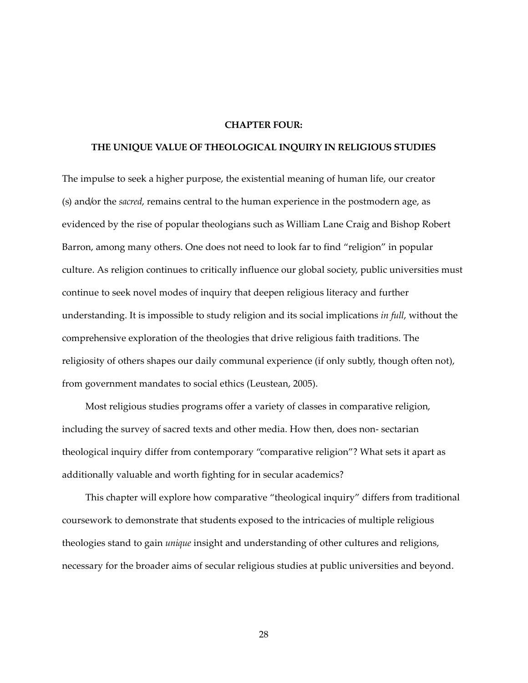#### **CHAPTER FOUR:**

## **THE UNIQUE VALUE OF THEOLOGICAL INQUIRY IN RELIGIOUS STUDIES**

The impulse to seek a higher purpose, the existential meaning of human life, our creator (s) and/or the *sacred*, remains central to the human experience in the postmodern age, as evidenced by the rise of popular theologians such as William Lane Craig and Bishop Robert Barron, among many others. One does not need to look far to find "religion" in popular culture. As religion continues to critically influence our global society, public universities must continue to seek novel modes of inquiry that deepen religious literacy and further understanding. It is impossible to study religion and its social implications *in full*, without the comprehensive exploration of the theologies that drive religious faith traditions. The religiosity of others shapes our daily communal experience (if only subtly, though often not), from government mandates to social ethics (Leustean, 2005).

Most religious studies programs offer a variety of classes in comparative religion, including the survey of sacred texts and other media. How then, does non- sectarian theological inquiry differ from contemporary "comparative religion"? What sets it apart as additionally valuable and worth fighting for in secular academics?

This chapter will explore how comparative "theological inquiry" differs from traditional coursework to demonstrate that students exposed to the intricacies of multiple religious theologies stand to gain *unique* insight and understanding of other cultures and religions, necessary for the broader aims of secular religious studies at public universities and beyond.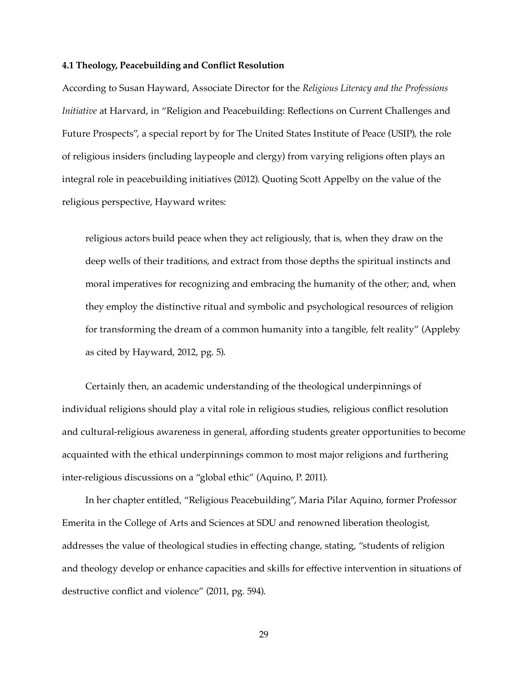#### **4.1 Theology, Peacebuilding and Conflict Resolution**

According to Susan Hayward, Associate Director for the *Religious Literacy and the Professions Initiative* at Harvard, in "Religion and Peacebuilding: Reflections on Current Challenges and Future Prospects", a special report by for The United States Institute of Peace (USIP), the role of religious insiders (including laypeople and clergy) from varying religions often plays an integral role in peacebuilding initiatives (2012). Quoting Scott Appelby on the value of the religious perspective, Hayward writes:

religious actors build peace when they act religiously, that is, when they draw on the deep wells of their traditions, and extract from those depths the spiritual instincts and moral imperatives for recognizing and embracing the humanity of the other; and, when they employ the distinctive ritual and symbolic and psychological resources of religion for transforming the dream of a common humanity into a tangible, felt reality" (Appleby as cited by Hayward, 2012, pg. 5).

Certainly then, an academic understanding of the theological underpinnings of individual religions should play a vital role in religious studies, religious conflict resolution and cultural-religious awareness in general, affording students greater opportunities to become acquainted with the ethical underpinnings common to most major religions and furthering inter-religious discussions on a "global ethic" (Aquino, P. 2011).

In her chapter entitled, "Religious Peacebuilding", Maria Pilar Aquino, former Professor Emerita in the College of Arts and Sciences at SDU and renowned liberation theologist, addresses the value of theological studies in effecting change, stating, "students of religion and theology develop or enhance capacities and skills for effective intervention in situations of destructive conflict and violence" (2011, pg. 594).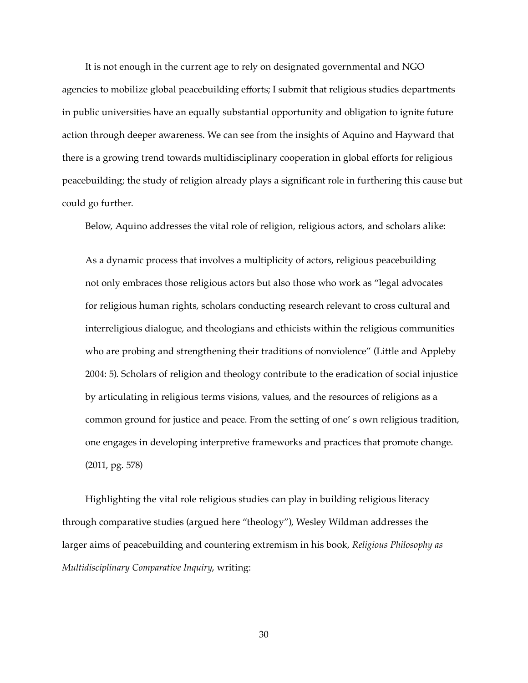It is not enough in the current age to rely on designated governmental and NGO agencies to mobilize global peacebuilding efforts; I submit that religious studies departments in public universities have an equally substantial opportunity and obligation to ignite future action through deeper awareness. We can see from the insights of Aquino and Hayward that there is a growing trend towards multidisciplinary cooperation in global efforts for religious peacebuilding; the study of religion already plays a significant role in furthering this cause but could go further.

Below, Aquino addresses the vital role of religion, religious actors, and scholars alike:

As a dynamic process that involves a multiplicity of actors, religious peacebuilding not only embraces those religious actors but also those who work as "legal advocates for religious human rights, scholars conducting research relevant to cross cultural and interreligious dialogue, and theologians and ethicists within the religious communities who are probing and strengthening their traditions of nonviolence" (Little and Appleby 2004: 5). Scholars of religion and theology contribute to the eradication of social injustice by articulating in religious terms visions, values, and the resources of religions as a common ground for justice and peace. From the setting of one' s own religious tradition, one engages in developing interpretive frameworks and practices that promote change. (2011, pg. 578)

Highlighting the vital role religious studies can play in building religious literacy through comparative studies (argued here "theology"), Wesley Wildman addresses the larger aims of peacebuilding and countering extremism in his book, *Religious Philosophy as Multidisciplinary Comparative Inquiry*, writing: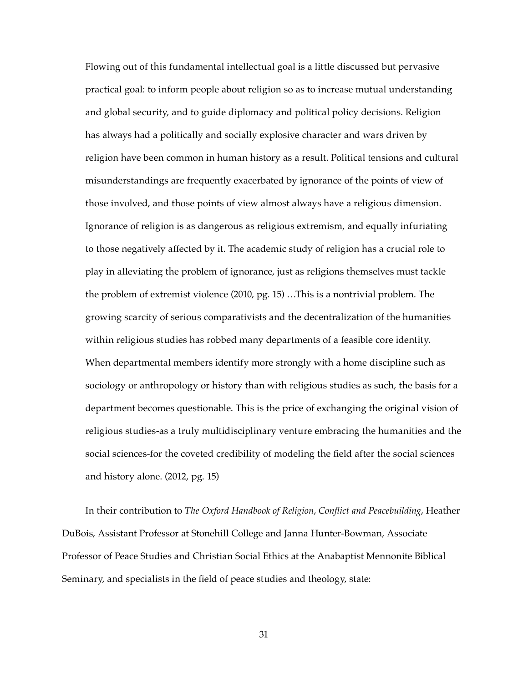Flowing out of this fundamental intellectual goal is a little discussed but pervasive practical goal: to inform people about religion so as to increase mutual understanding and global security, and to guide diplomacy and political policy decisions. Religion has always had a politically and socially explosive character and wars driven by religion have been common in human history as a result. Political tensions and cultural misunderstandings are frequently exacerbated by ignorance of the points of view of those involved, and those points of view almost always have a religious dimension. Ignorance of religion is as dangerous as religious extremism, and equally infuriating to those negatively affected by it. The academic study of religion has a crucial role to play in alleviating the problem of ignorance, just as religions themselves must tackle the problem of extremist violence (2010, pg. 15) …This is a nontrivial problem. The growing scarcity of serious comparativists and the decentralization of the humanities within religious studies has robbed many departments of a feasible core identity. When departmental members identify more strongly with a home discipline such as sociology or anthropology or history than with religious studies as such, the basis for a department becomes questionable. This is the price of exchanging the original vision of religious studies-as a truly multidisciplinary venture embracing the humanities and the social sciences-for the coveted credibility of modeling the field after the social sciences and history alone. (2012, pg. 15)

In their contribution to *The Oxford Handbook of Religion*, *Conflict and Peacebuilding*, Heather DuBois, Assistant Professor at Stonehill College and Janna Hunter-Bowman, Associate Professor of Peace Studies and Christian Social Ethics at the Anabaptist Mennonite Biblical Seminary, and specialists in the field of peace studies and theology, state: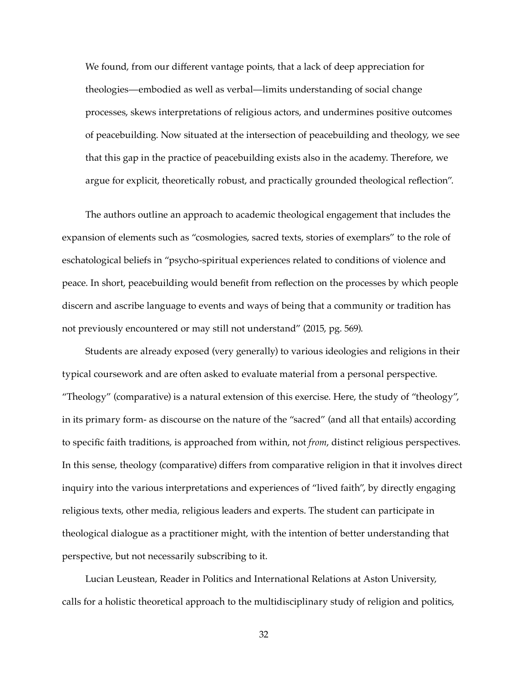We found, from our different vantage points, that a lack of deep appreciation for theologies—embodied as well as verbal—limits understanding of social change processes, skews interpretations of religious actors, and undermines positive outcomes of peacebuilding. Now situated at the intersection of peacebuilding and theology, we see that this gap in the practice of peacebuilding exists also in the academy. Therefore, we argue for explicit, theoretically robust, and practically grounded theological reflection".

The authors outline an approach to academic theological engagement that includes the expansion of elements such as "cosmologies, sacred texts, stories of exemplars" to the role of eschatological beliefs in "psycho-spiritual experiences related to conditions of violence and peace. In short, peacebuilding would benefit from reflection on the processes by which people discern and ascribe language to events and ways of being that a community or tradition has not previously encountered or may still not understand" (2015, pg. 569).

Students are already exposed (very generally) to various ideologies and religions in their typical coursework and are often asked to evaluate material from a personal perspective. "Theology" (comparative) is a natural extension of this exercise. Here, the study of "theology", in its primary form- as discourse on the nature of the "sacred" (and all that entails) according to specific faith traditions, is approached from within, not *from*, distinct religious perspectives. In this sense, theology (comparative) differs from comparative religion in that it involves direct inquiry into the various interpretations and experiences of "lived faith", by directly engaging religious texts, other media, religious leaders and experts. The student can participate in theological dialogue as a practitioner might, with the intention of better understanding that perspective, but not necessarily subscribing to it.

Lucian Leustean, Reader in Politics and International Relations at Aston University, calls for a holistic theoretical approach to the multidisciplinary study of religion and politics,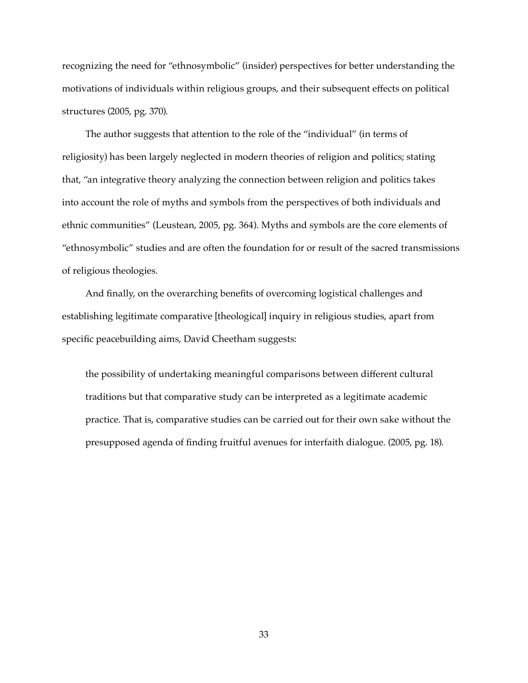recognizing the need for "ethnosymbolic" (insider) perspectives for better understanding the motivations of individuals within religious groups, and their subsequent effects on political structures (2005, pg. 370).

The author suggests that attention to the role of the "individual" (in terms of religiosity) has been largely neglected in modern theories of religion and politics; stating that, "an integrative theory analyzing the connection between religion and politics takes into account the role of myths and symbols from the perspectives of both individuals and ethnic communities" (Leustean, 2005, pg. 364). Myths and symbols are the core elements of "ethnosymbolic" studies and are often the foundation for or result of the sacred transmissions of religious theologies.

And finally, on the overarching benefits of overcoming logistical challenges and establishing legitimate comparative [theological] inquiry in religious studies, apart from specific peacebuilding aims, David Cheetham suggests:

the possibility of undertaking meaningful comparisons between different cultural traditions but that comparative study can be interpreted as a legitimate academic practice. That is, comparative studies can be carried out for their own sake without the presupposed agenda of finding fruitful avenues for interfaith dialogue. (2005, pg. 18).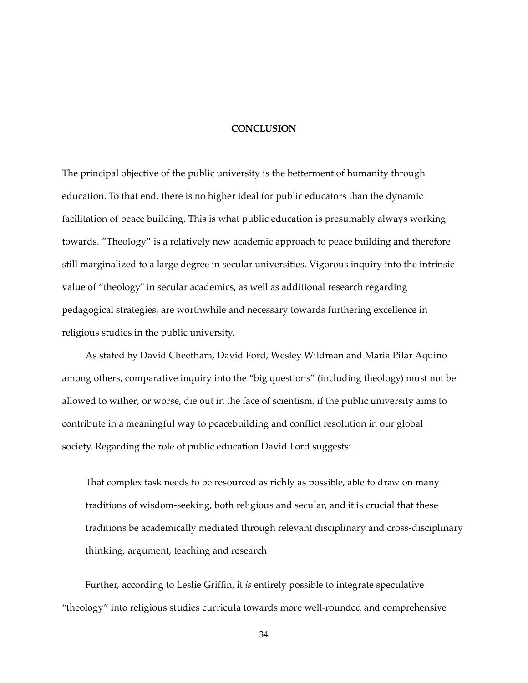#### **CONCLUSION**

The principal objective of the public university is the betterment of humanity through education. To that end, there is no higher ideal for public educators than the dynamic facilitation of peace building. This is what public education is presumably always working towards. "Theology" is a relatively new academic approach to peace building and therefore still marginalized to a large degree in secular universities. Vigorous inquiry into the intrinsic value of "theology" in secular academics, as well as additional research regarding pedagogical strategies, are worthwhile and necessary towards furthering excellence in religious studies in the public university.

As stated by David Cheetham, David Ford, Wesley Wildman and Maria Pilar Aquino among others, comparative inquiry into the "big questions" (including theology) must not be allowed to wither, or worse, die out in the face of scientism, if the public university aims to contribute in a meaningful way to peacebuilding and conflict resolution in our global society. Regarding the role of public education David Ford suggests:

That complex task needs to be resourced as richly as possible, able to draw on many traditions of wisdom-seeking, both religious and secular, and it is crucial that these traditions be academically mediated through relevant disciplinary and cross-disciplinary thinking, argument, teaching and research

Further, according to Leslie Griffin, it *is* entirely possible to integrate speculative "theology" into religious studies curricula towards more well-rounded and comprehensive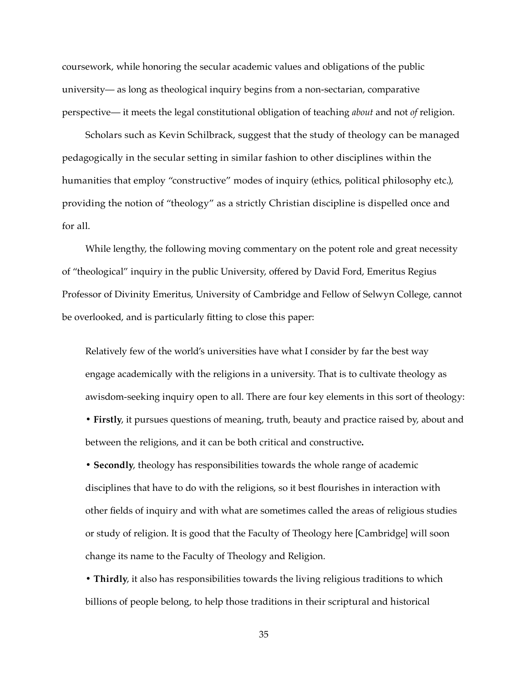coursework, while honoring the secular academic values and obligations of the public university— as long as theological inquiry begins from a non-sectarian, comparative perspective— it meets the legal constitutional obligation of teaching *about* and not *of* religion.

Scholars such as Kevin Schilbrack, suggest that the study of theology can be managed pedagogically in the secular setting in similar fashion to other disciplines within the humanities that employ "constructive" modes of inquiry (ethics, political philosophy etc.), providing the notion of "theology" as a strictly Christian discipline is dispelled once and for all.

While lengthy, the following moving commentary on the potent role and great necessity of "theological" inquiry in the public University, offered by David Ford, Emeritus Regius Professor of Divinity Emeritus, University of Cambridge and Fellow of Selwyn College, cannot be overlooked, and is particularly fitting to close this paper:

Relatively few of the world's universities have what I consider by far the best way engage academically with the religions in a university. That is to cultivate theology as awisdom-seeking inquiry open to all. There are four key elements in this sort of theology: **• Firstly**, it pursues questions of meaning, truth, beauty and practice raised by, about and

between the religions, and it can be both critical and constructive**.**

**• Secondly**, theology has responsibilities towards the whole range of academic disciplines that have to do with the religions, so it best flourishes in interaction with other fields of inquiry and with what are sometimes called the areas of religious studies or study of religion. It is good that the Faculty of Theology here [Cambridge] will soon change its name to the Faculty of Theology and Religion.

**• Thirdly**, it also has responsibilities towards the living religious traditions to which billions of people belong, to help those traditions in their scriptural and historical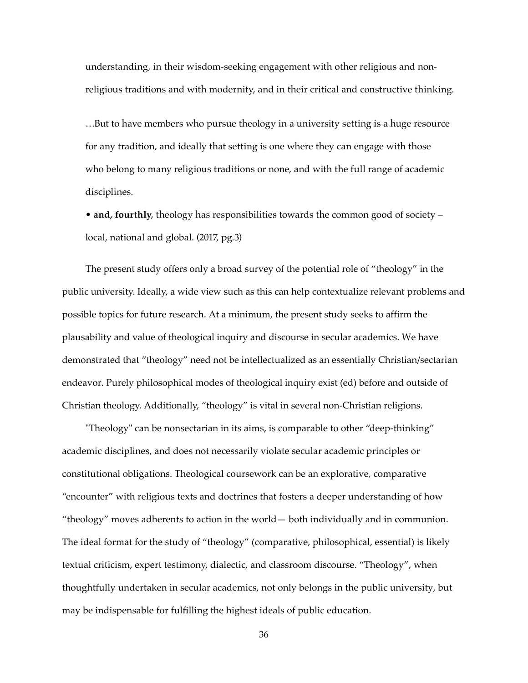understanding, in their wisdom-seeking engagement with other religious and nonreligious traditions and with modernity, and in their critical and constructive thinking.

…But to have members who pursue theology in a university setting is a huge resource for any tradition, and ideally that setting is one where they can engage with those who belong to many religious traditions or none, and with the full range of academic disciplines.

• **and, fourthly**, theology has responsibilities towards the common good of society – local, national and global. (2017, pg.3)

The present study offers only a broad survey of the potential role of "theology" in the public university. Ideally, a wide view such as this can help contextualize relevant problems and possible topics for future research. At a minimum, the present study seeks to affirm the plausability and value of theological inquiry and discourse in secular academics. We have demonstrated that "theology" need not be intellectualized as an essentially Christian/sectarian endeavor. Purely philosophical modes of theological inquiry exist (ed) before and outside of Christian theology. Additionally, "theology" is vital in several non-Christian religions.

"Theology" can be nonsectarian in its aims, is comparable to other "deep-thinking" academic disciplines, and does not necessarily violate secular academic principles or constitutional obligations. Theological coursework can be an explorative, comparative "encounter" with religious texts and doctrines that fosters a deeper understanding of how "theology" moves adherents to action in the world— both individually and in communion. The ideal format for the study of "theology" (comparative, philosophical, essential) is likely textual criticism, expert testimony, dialectic, and classroom discourse. "Theology", when thoughtfully undertaken in secular academics, not only belongs in the public university, but may be indispensable for fulfilling the highest ideals of public education.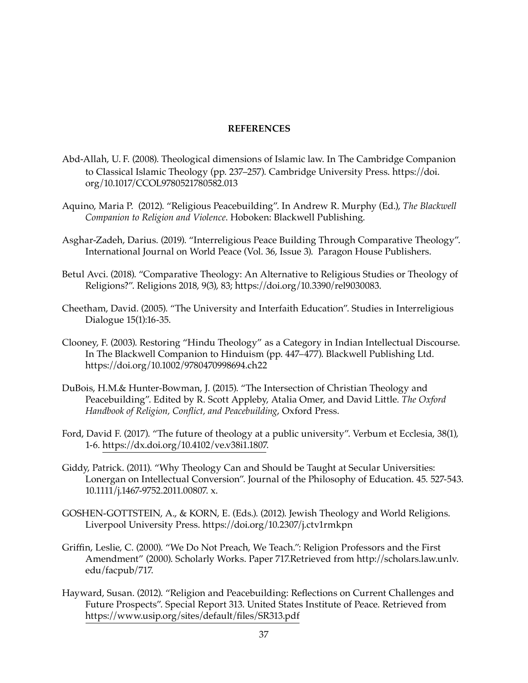## **REFERENCES**

- Abd-Allah, U. F. (2008). Theological dimensions of Islamic law. In The Cambridge Companion to Classical Islamic Theology (pp. 237–257). Cambridge University Press. https://doi. org/10.1017/CCOL9780521780582.013
- Aquino, Maria P. (2012). "Religious Peacebuilding". In Andrew R. Murphy (Ed.), *The Blackwell Companion to Religion and Violence*. Hoboken: Blackwell Publishing.
- Asghar-Zadeh, Darius. (2019). "Interreligious Peace Building Through Comparative Theology". International Journal on World Peace (Vol. 36, Issue 3). Paragon House Publishers.
- Betul Avci. (2018). "Comparative Theology: An Alternative to Religious Studies or Theology of Religions?". Religions 2018, 9(3), 83; https://doi.org/10.3390/rel9030083.
- Cheetham, David. (2005). "The University and Interfaith Education". Studies in Interreligious Dialogue 15(1):16-35.
- Clooney, F. (2003). Restoring "Hindu Theology" as a Category in Indian Intellectual Discourse. In The Blackwell Companion to Hinduism (pp. 447–477). Blackwell Publishing Ltd. https://doi.org/10.1002/9780470998694.ch22
- DuBois, H.M.& Hunter-Bowman, J. (2015). "The Intersection of Christian Theology and Peacebuilding". Edited by R. Scott Appleby, Atalia Omer, and David Little. *The Oxford Handbook of Religion, Conflict, and Peacebuilding*, Oxford Press.
- Ford, David F. (2017). "The future of theology at a public university". Verbum et Ecclesia, 38(1), 1-6. https://dx.doi.org/10.4102/ve.v38i1.1807.
- Giddy, Patrick. (2011). "Why Theology Can and Should be Taught at Secular Universities: Lonergan on Intellectual Conversion". Journal of the Philosophy of Education. 45. 527-543. 10.1111/j.1467-9752.2011.00807. x.
- GOSHEN-GOTTSTEIN, A., & KORN, E. (Eds.). (2012). Jewish Theology and World Religions. Liverpool University Press. https://doi.org/10.2307/j.ctv1rmkpn
- Griffin, Leslie, C. (2000). "We Do Not Preach, We Teach.": Religion Professors and the First Amendment" (2000). Scholarly Works. Paper 717.Retrieved from http://scholars.law.unlv. edu/facpub/717.
- Hayward, Susan. (2012). "Religion and Peacebuilding: Reflections on Current Challenges and Future Prospects". Special Report 313. United States Institute of Peace. Retrieved from https://www.usip.org/sites/default/files/SR313.pdf